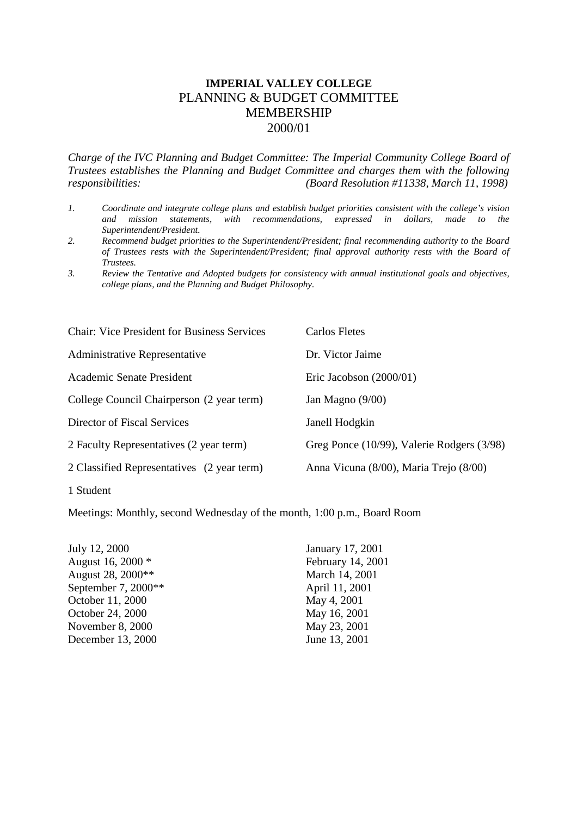# **IMPERIAL VALLEY COLLEGE** PLANNING & BUDGET COMMITTEE MEMBERSHIP 2000/01

*Charge of the IVC Planning and Budget Committee: The Imperial Community College Board of Trustees establishes the Planning and Budget Committee and charges them with the following responsibilities: (Board Resolution #11338, March 11, 1998)*

- *1. Coordinate and integrate college plans and establish budget priorities consistent with the college's vision and mission statements, with recommendations, expressed in dollars, made to the Superintendent/President.*
- *2. Recommend budget priorities to the Superintendent/President; final recommending authority to the Board of Trustees rests with the Superintendent/President; final approval authority rests with the Board of Trustees.*
- *3. Review the Tentative and Adopted budgets for consistency with annual institutional goals and objectives, college plans, and the Planning and Budget Philosophy.*

| <b>Chair: Vice President for Business Services</b> | Carlos Fletes                              |
|----------------------------------------------------|--------------------------------------------|
| <b>Administrative Representative</b>               | Dr. Victor Jaime                           |
| Academic Senate President                          | Eric Jacobson $(2000/01)$                  |
| College Council Chairperson (2 year term)          | Jan Magno $(9/00)$                         |
| Director of Fiscal Services                        | Janell Hodgkin                             |
| 2 Faculty Representatives (2 year term)            | Greg Ponce (10/99), Valerie Rodgers (3/98) |
| 2 Classified Representatives (2 year term)         | Anna Vicuna (8/00), Maria Trejo (8/00)     |
| 1 Student                                          |                                            |

Meetings: Monthly, second Wednesday of the month, 1:00 p.m., Board Room

| July 12, 2000       |
|---------------------|
| August 16, 2000 *   |
| August 28, 2000**   |
| September 7, 2000** |
| October 11, 2000    |
| October 24, 2000    |
| November 8, 2000    |
| December 13, 2000   |
|                     |

January 17, 2001 February 14, 2001 March 14, 2001 April 11, 2001 May 4, 2001 May 16, 2001 May 23, 2001 June 13, 2001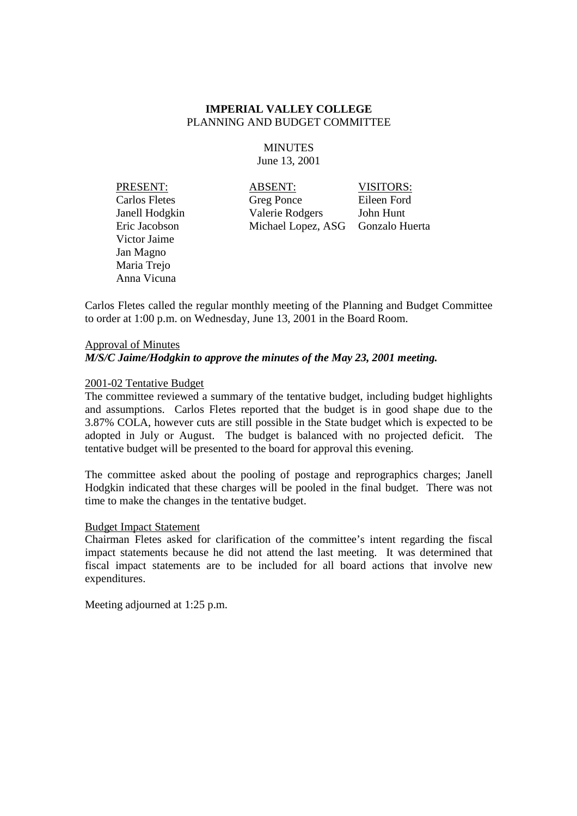# **MINUTES** June 13, 2001

Victor Jaime Jan Magno Maria Trejo Anna Vicuna

PRESENT: ABSENT: VISITORS: Carlos Fletes Greg Ponce Eileen Ford Janell Hodgkin Valerie Rodgers John Hunt Eric Jacobson Michael Lopez, ASG Gonzalo Huerta

Carlos Fletes called the regular monthly meeting of the Planning and Budget Committee to order at 1:00 p.m. on Wednesday, June 13, 2001 in the Board Room.

# Approval of Minutes *M/S/C Jaime/Hodgkin to approve the minutes of the May 23, 2001 meeting.*

# 2001-02 Tentative Budget

The committee reviewed a summary of the tentative budget, including budget highlights and assumptions. Carlos Fletes reported that the budget is in good shape due to the 3.87% COLA, however cuts are still possible in the State budget which is expected to be adopted in July or August. The budget is balanced with no projected deficit. The tentative budget will be presented to the board for approval this evening.

The committee asked about the pooling of postage and reprographics charges; Janell Hodgkin indicated that these charges will be pooled in the final budget. There was not time to make the changes in the tentative budget.

# Budget Impact Statement

Chairman Fletes asked for clarification of the committee's intent regarding the fiscal impact statements because he did not attend the last meeting. It was determined that fiscal impact statements are to be included for all board actions that involve new expenditures.

Meeting adjourned at 1:25 p.m.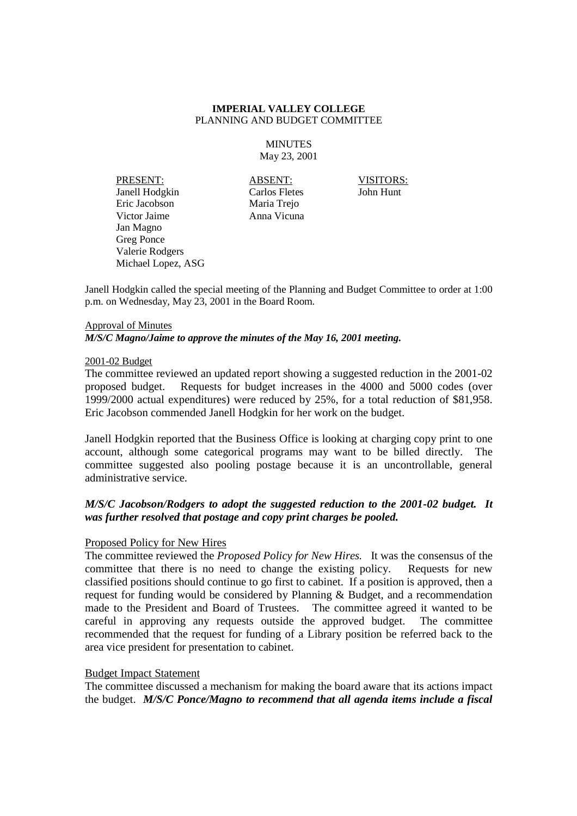### **MINUTES** May 23, 2001

PRESENT: ABSENT: VISITORS: Janell Hodgkin Carlos Fletes John Hunt Eric Jacobson Maria Trejo Victor Jaime Anna Vicuna Jan Magno Greg Ponce Valerie Rodgers Michael Lopez, ASG

Janell Hodgkin called the special meeting of the Planning and Budget Committee to order at 1:00 p.m. on Wednesday, May 23, 2001 in the Board Room.

# Approval of Minutes

*M/S/C Magno/Jaime to approve the minutes of the May 16, 2001 meeting.*

#### 2001-02 Budget

The committee reviewed an updated report showing a suggested reduction in the 2001-02 proposed budget. Requests for budget increases in the 4000 and 5000 codes (over 1999/2000 actual expenditures) were reduced by 25%, for a total reduction of \$81,958. Eric Jacobson commended Janell Hodgkin for her work on the budget.

Janell Hodgkin reported that the Business Office is looking at charging copy print to one account, although some categorical programs may want to be billed directly. The committee suggested also pooling postage because it is an uncontrollable, general administrative service.

# *M/S/C Jacobson/Rodgers to adopt the suggested reduction to the 2001-02 budget. It was further resolved that postage and copy print charges be pooled.*

# Proposed Policy for New Hires

The committee reviewed the *Proposed Policy for New Hires.* It was the consensus of the committee that there is no need to change the existing policy. Requests for new classified positions should continue to go first to cabinet. If a position is approved, then a request for funding would be considered by Planning & Budget, and a recommendation made to the President and Board of Trustees. The committee agreed it wanted to be careful in approving any requests outside the approved budget. The committee recommended that the request for funding of a Library position be referred back to the area vice president for presentation to cabinet.

# Budget Impact Statement

The committee discussed a mechanism for making the board aware that its actions impact the budget. *M/S/C Ponce/Magno to recommend that all agenda items include a fiscal*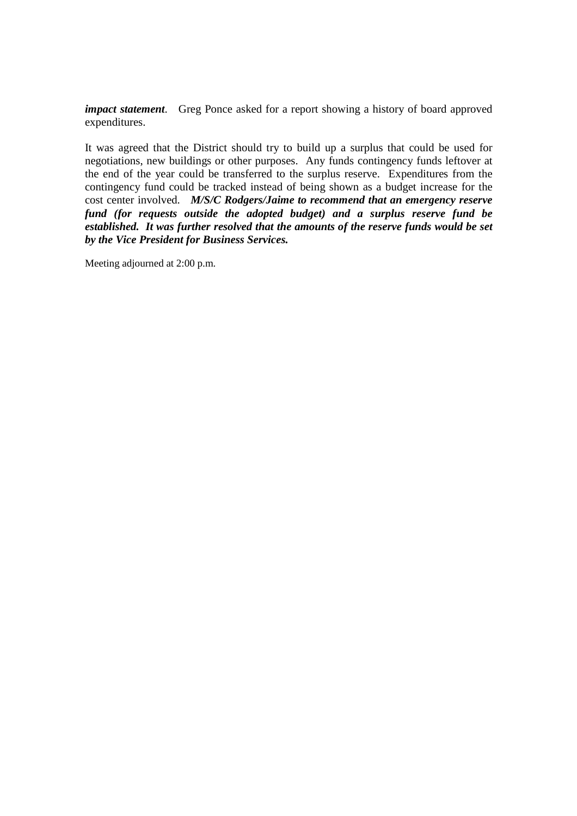*impact statement*. Greg Ponce asked for a report showing a history of board approved expenditures.

It was agreed that the District should try to build up a surplus that could be used for negotiations, new buildings or other purposes. Any funds contingency funds leftover at the end of the year could be transferred to the surplus reserve. Expenditures from the contingency fund could be tracked instead of being shown as a budget increase for the cost center involved. *M/S/C Rodgers/Jaime to recommend that an emergency reserve fund (for requests outside the adopted budget) and a surplus reserve fund be established. It was further resolved that the amounts of the reserve funds would be set by the Vice President for Business Services.*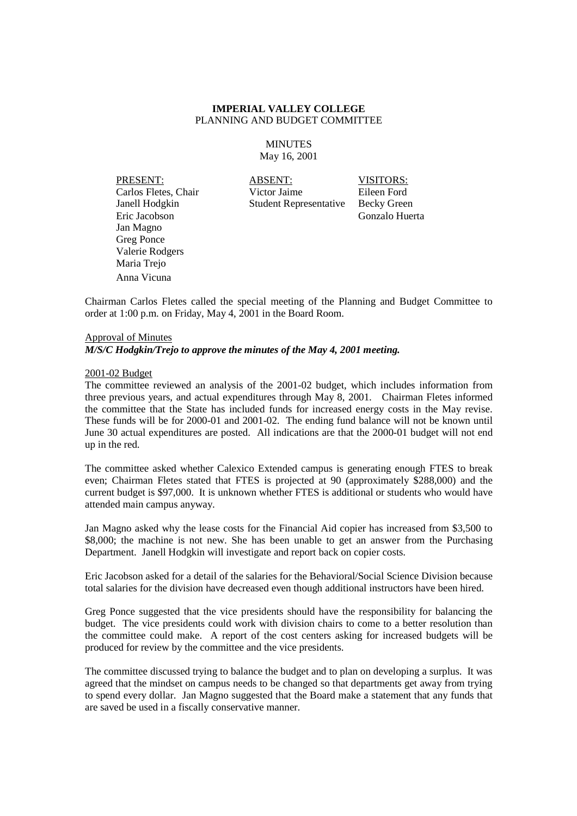### **MINUTES** May 16, 2001

Carlos Fletes, Chair Victor Jaime Eric Jacobson Gonzalo Huerta Jan Magno Greg Ponce Valerie Rodgers Maria Trejo Anna Vicuna

**PRESENT:** ABSENT: VISITORS: Carlos Fletes, Chair Victor Jaime Eileen Ford Janell Hodgkin Student Representative Becky Green

Chairman Carlos Fletes called the special meeting of the Planning and Budget Committee to order at 1:00 p.m. on Friday, May 4, 2001 in the Board Room.

# Approval of Minutes

*M/S/C Hodgkin/Trejo to approve the minutes of the May 4, 2001 meeting.*

#### 2001-02 Budget

The committee reviewed an analysis of the 2001-02 budget, which includes information from three previous years, and actual expenditures through May 8, 2001. Chairman Fletes informed the committee that the State has included funds for increased energy costs in the May revise. These funds will be for 2000-01 and 2001-02. The ending fund balance will not be known until June 30 actual expenditures are posted. All indications are that the 2000-01 budget will not end up in the red.

The committee asked whether Calexico Extended campus is generating enough FTES to break even; Chairman Fletes stated that FTES is projected at 90 (approximately \$288,000) and the current budget is \$97,000. It is unknown whether FTES is additional or students who would have attended main campus anyway.

Jan Magno asked why the lease costs for the Financial Aid copier has increased from \$3,500 to \$8,000; the machine is not new. She has been unable to get an answer from the Purchasing Department. Janell Hodgkin will investigate and report back on copier costs.

Eric Jacobson asked for a detail of the salaries for the Behavioral/Social Science Division because total salaries for the division have decreased even though additional instructors have been hired.

Greg Ponce suggested that the vice presidents should have the responsibility for balancing the budget. The vice presidents could work with division chairs to come to a better resolution than the committee could make. A report of the cost centers asking for increased budgets will be produced for review by the committee and the vice presidents.

The committee discussed trying to balance the budget and to plan on developing a surplus. It was agreed that the mindset on campus needs to be changed so that departments get away from trying to spend every dollar. Jan Magno suggested that the Board make a statement that any funds that are saved be used in a fiscally conservative manner.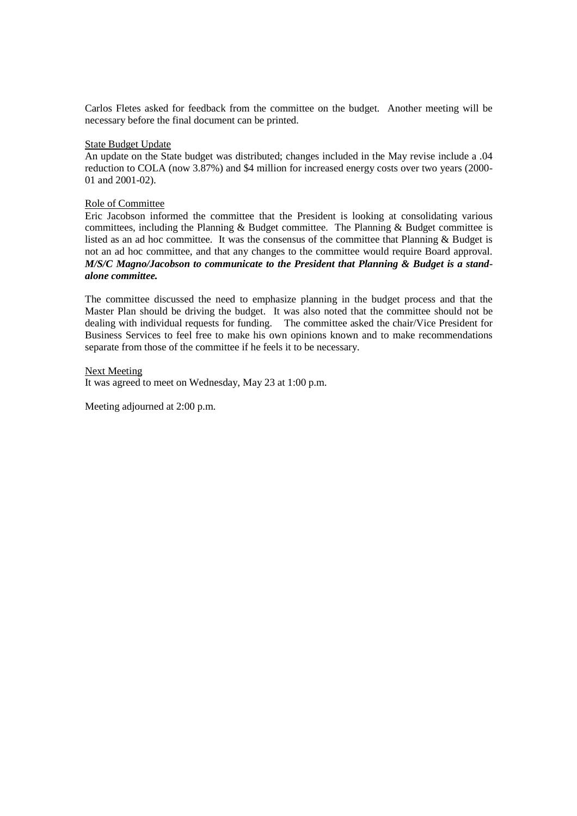Carlos Fletes asked for feedback from the committee on the budget. Another meeting will be necessary before the final document can be printed.

#### State Budget Update

An update on the State budget was distributed; changes included in the May revise include a .04 reduction to COLA (now 3.87%) and \$4 million for increased energy costs over two years (2000- 01 and 2001-02).

## Role of Committee

Eric Jacobson informed the committee that the President is looking at consolidating various committees, including the Planning & Budget committee. The Planning & Budget committee is listed as an ad hoc committee. It was the consensus of the committee that Planning & Budget is not an ad hoc committee, and that any changes to the committee would require Board approval. *M/S/C Magno/Jacobson to communicate to the President that Planning & Budget is a standalone committee.*

The committee discussed the need to emphasize planning in the budget process and that the Master Plan should be driving the budget. It was also noted that the committee should not be dealing with individual requests for funding. The committee asked the chair/Vice President for Business Services to feel free to make his own opinions known and to make recommendations separate from those of the committee if he feels it to be necessary.

Next Meeting It was agreed to meet on Wednesday, May 23 at 1:00 p.m.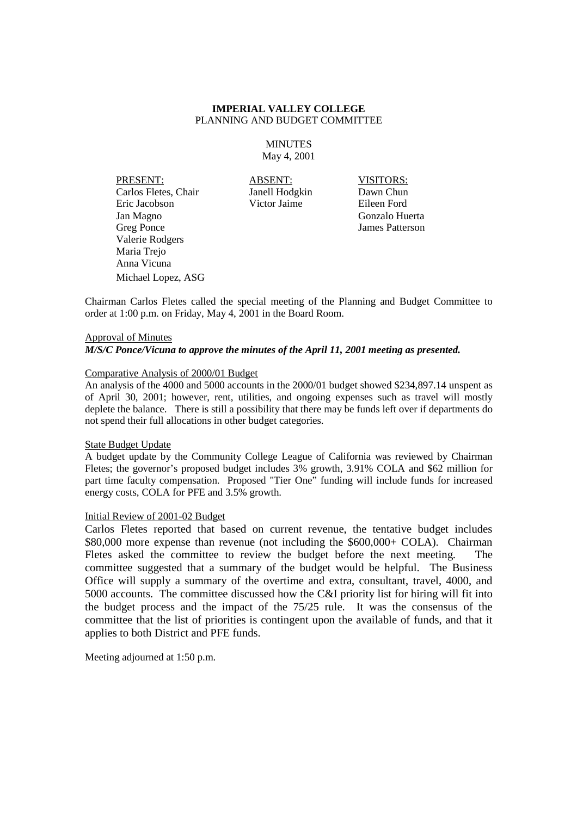#### **MINUTES** May 4, 2001

PRESENT: ABSENT: VISITORS: Carlos Fletes, Chair Janell Hodgkin Dawn Chun Eric Jacobson Victor Jaime Eileen Ford Jan Magno Gonzalo Huerta Greg Ponce James Patterson Valerie Rodgers Maria Trejo Anna Vicuna Michael Lopez, ASG

Chairman Carlos Fletes called the special meeting of the Planning and Budget Committee to order at 1:00 p.m. on Friday, May 4, 2001 in the Board Room.

# Approval of Minutes *M/S/C Ponce/Vicuna to approve the minutes of the April 11, 2001 meeting as presented.*

#### Comparative Analysis of 2000/01 Budget

An analysis of the 4000 and 5000 accounts in the 2000/01 budget showed \$234,897.14 unspent as of April 30, 2001; however, rent, utilities, and ongoing expenses such as travel will mostly deplete the balance. There is still a possibility that there may be funds left over if departments do not spend their full allocations in other budget categories.

#### State Budget Update

A budget update by the Community College League of California was reviewed by Chairman Fletes; the governor's proposed budget includes 3% growth, 3.91% COLA and \$62 million for part time faculty compensation. Proposed "Tier One" funding will include funds for increased energy costs, COLA for PFE and 3.5% growth.

#### Initial Review of 2001-02 Budget

Carlos Fletes reported that based on current revenue, the tentative budget includes \$80,000 more expense than revenue (not including the \$600,000+ COLA). Chairman Fletes asked the committee to review the budget before the next meeting. The committee suggested that a summary of the budget would be helpful. The Business Office will supply a summary of the overtime and extra, consultant, travel, 4000, and 5000 accounts. The committee discussed how the C&I priority list for hiring will fit into the budget process and the impact of the 75/25 rule. It was the consensus of the committee that the list of priorities is contingent upon the available of funds, and that it applies to both District and PFE funds.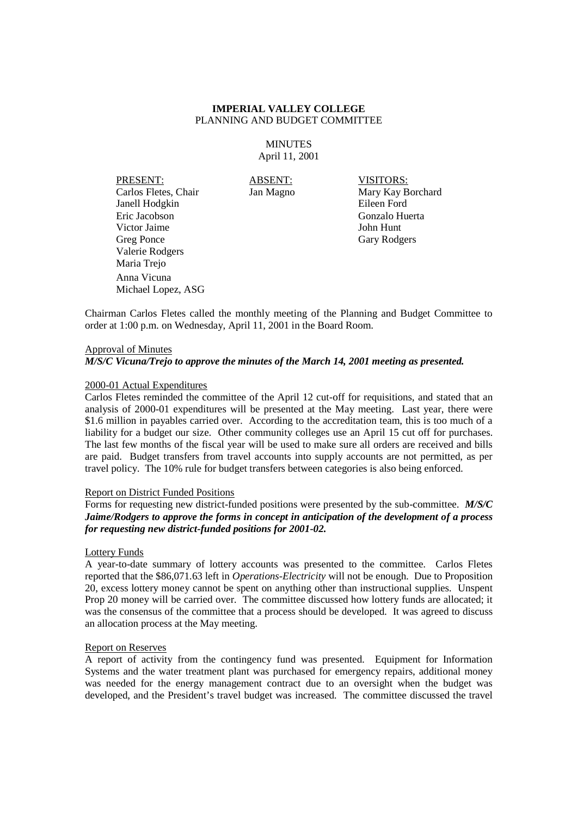**MINUTES** April 11, 2001

PRESENT: ABSENT: VISITORS: Carlos Fletes, Chair Jan Magno Mary Kay Borchard Janell Hodgkin Eileen Ford Eric Jacobson Gonzalo Huerta Victor Jaime John Hunt Greg Ponce Gary Rodgers Valerie Rodgers Maria Trejo Anna Vicuna Michael Lopez, ASG

Chairman Carlos Fletes called the monthly meeting of the Planning and Budget Committee to order at 1:00 p.m. on Wednesday, April 11, 2001 in the Board Room.

#### Approval of Minutes

#### *M/S/C Vicuna/Trejo to approve the minutes of the March 14, 2001 meeting as presented.*

#### 2000-01 Actual Expenditures

Carlos Fletes reminded the committee of the April 12 cut-off for requisitions, and stated that an analysis of 2000-01 expenditures will be presented at the May meeting. Last year, there were \$1.6 million in payables carried over. According to the accreditation team, this is too much of a liability for a budget our size. Other community colleges use an April 15 cut off for purchases. The last few months of the fiscal year will be used to make sure all orders are received and bills are paid. Budget transfers from travel accounts into supply accounts are not permitted, as per travel policy. The 10% rule for budget transfers between categories is also being enforced.

### Report on District Funded Positions

Forms for requesting new district-funded positions were presented by the sub-committee. *M/S/C Jaime/Rodgers to approve the forms in concept in anticipation of the development of a process for requesting new district-funded positions for 2001-02.*

# Lottery Funds

A year-to-date summary of lottery accounts was presented to the committee. Carlos Fletes reported that the \$86,071.63 left in *Operations-Electricity* will not be enough. Due to Proposition 20, excess lottery money cannot be spent on anything other than instructional supplies. Unspent Prop 20 money will be carried over. The committee discussed how lottery funds are allocated; it was the consensus of the committee that a process should be developed. It was agreed to discuss an allocation process at the May meeting.

#### Report on Reserves

A report of activity from the contingency fund was presented. Equipment for Information Systems and the water treatment plant was purchased for emergency repairs, additional money was needed for the energy management contract due to an oversight when the budget was developed, and the President's travel budget was increased. The committee discussed the travel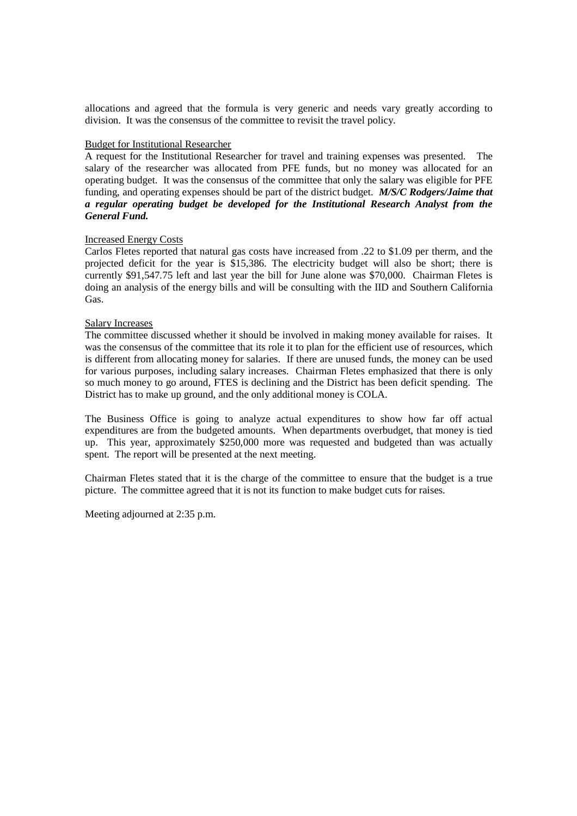allocations and agreed that the formula is very generic and needs vary greatly according to division. It was the consensus of the committee to revisit the travel policy.

#### Budget for Institutional Researcher

A request for the Institutional Researcher for travel and training expenses was presented. The salary of the researcher was allocated from PFE funds, but no money was allocated for an operating budget. It was the consensus of the committee that only the salary was eligible for PFE funding, and operating expenses should be part of the district budget. *M/S/C Rodgers/Jaime that a regular operating budget be developed for the Institutional Research Analyst from the General Fund.*

#### Increased Energy Costs

Carlos Fletes reported that natural gas costs have increased from .22 to \$1.09 per therm, and the projected deficit for the year is \$15,386. The electricity budget will also be short; there is currently \$91,547.75 left and last year the bill for June alone was \$70,000. Chairman Fletes is doing an analysis of the energy bills and will be consulting with the IID and Southern California Gas.

#### Salary Increases

The committee discussed whether it should be involved in making money available for raises. It was the consensus of the committee that its role it to plan for the efficient use of resources, which is different from allocating money for salaries. If there are unused funds, the money can be used for various purposes, including salary increases. Chairman Fletes emphasized that there is only so much money to go around, FTES is declining and the District has been deficit spending. The District has to make up ground, and the only additional money is COLA.

The Business Office is going to analyze actual expenditures to show how far off actual expenditures are from the budgeted amounts. When departments overbudget, that money is tied up. This year, approximately \$250,000 more was requested and budgeted than was actually spent. The report will be presented at the next meeting.

Chairman Fletes stated that it is the charge of the committee to ensure that the budget is a true picture. The committee agreed that it is not its function to make budget cuts for raises.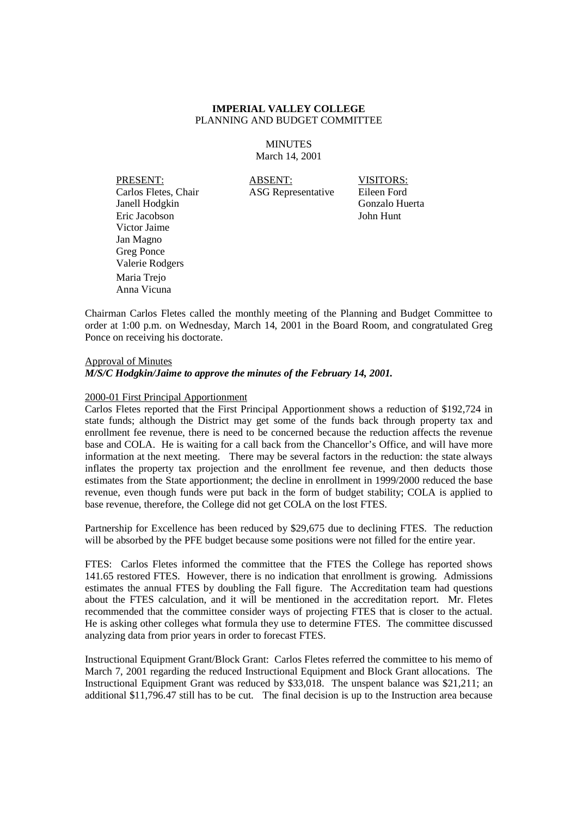**MINUTES** March 14, 2001

PRESENT: ABSENT: VISITORS: Carlos Fletes, Chair ASG Representative Eileen Ford Janell Hodgkin Gonzalo Huerta Eric Jacobson John Hunt Victor Jaime Jan Magno Greg Ponce Valerie Rodgers Maria Trejo Anna Vicuna

Chairman Carlos Fletes called the monthly meeting of the Planning and Budget Committee to order at 1:00 p.m. on Wednesday, March 14, 2001 in the Board Room, and congratulated Greg Ponce on receiving his doctorate.

Approval of Minutes *M/S/C Hodgkin/Jaime to approve the minutes of the February 14, 2001.*

#### 2000-01 First Principal Apportionment

Carlos Fletes reported that the First Principal Apportionment shows a reduction of \$192,724 in state funds; although the District may get some of the funds back through property tax and enrollment fee revenue, there is need to be concerned because the reduction affects the revenue base and COLA. He is waiting for a call back from the Chancellor's Office, and will have more information at the next meeting. There may be several factors in the reduction: the state always inflates the property tax projection and the enrollment fee revenue, and then deducts those estimates from the State apportionment; the decline in enrollment in 1999/2000 reduced the base revenue, even though funds were put back in the form of budget stability; COLA is applied to base revenue, therefore, the College did not get COLA on the lost FTES.

Partnership for Excellence has been reduced by \$29,675 due to declining FTES. The reduction will be absorbed by the PFE budget because some positions were not filled for the entire year.

FTES: Carlos Fletes informed the committee that the FTES the College has reported shows 141.65 restored FTES. However, there is no indication that enrollment is growing. Admissions estimates the annual FTES by doubling the Fall figure. The Accreditation team had questions about the FTES calculation, and it will be mentioned in the accreditation report. Mr. Fletes recommended that the committee consider ways of projecting FTES that is closer to the actual. He is asking other colleges what formula they use to determine FTES. The committee discussed analyzing data from prior years in order to forecast FTES.

Instructional Equipment Grant/Block Grant: Carlos Fletes referred the committee to his memo of March 7, 2001 regarding the reduced Instructional Equipment and Block Grant allocations. The Instructional Equipment Grant was reduced by \$33,018. The unspent balance was \$21,211; an additional \$11,796.47 still has to be cut. The final decision is up to the Instruction area because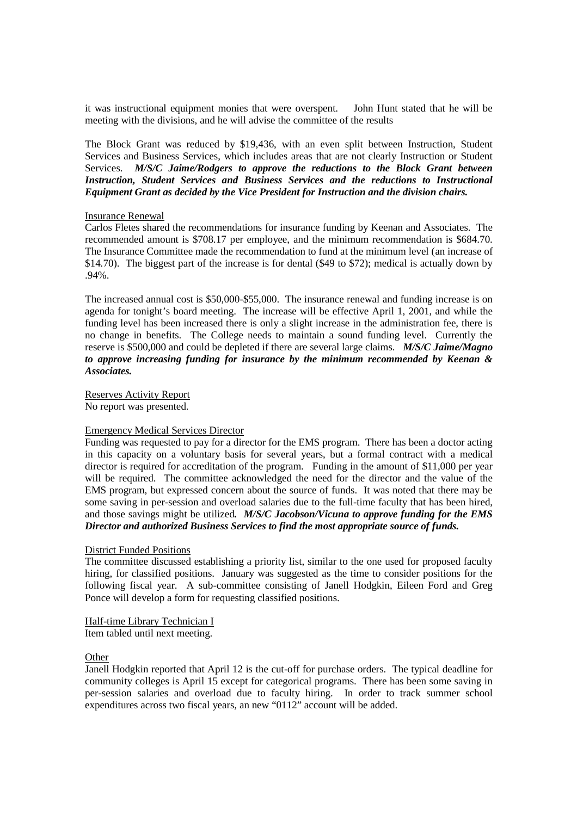it was instructional equipment monies that were overspent. John Hunt stated that he will be meeting with the divisions, and he will advise the committee of the results

The Block Grant was reduced by \$19,436, with an even split between Instruction, Student Services and Business Services, which includes areas that are not clearly Instruction or Student Services. *M/S/C Jaime/Rodgers to approve the reductions to the Block Grant between Instruction, Student Services and Business Services and the reductions to Instructional Equipment Grant as decided by the Vice President for Instruction and the division chairs.*

#### Insurance Renewal

Carlos Fletes shared the recommendations for insurance funding by Keenan and Associates. The recommended amount is \$708.17 per employee, and the minimum recommendation is \$684.70. The Insurance Committee made the recommendation to fund at the minimum level (an increase of \$14.70). The biggest part of the increase is for dental (\$49 to \$72); medical is actually down by .94%.

The increased annual cost is \$50,000-\$55,000. The insurance renewal and funding increase is on agenda for tonight's board meeting. The increase will be effective April 1, 2001, and while the funding level has been increased there is only a slight increase in the administration fee, there is no change in benefits. The College needs to maintain a sound funding level. Currently the reserve is \$500,000 and could be depleted if there are several large claims. *M/S/C Jaime/Magno to approve increasing funding for insurance by the minimum recommended by Keenan & Associates.*

Reserves Activity Report No report was presented.

# Emergency Medical Services Director

Funding was requested to pay for a director for the EMS program. There has been a doctor acting in this capacity on a voluntary basis for several years, but a formal contract with a medical director is required for accreditation of the program. Funding in the amount of \$11,000 per year will be required. The committee acknowledged the need for the director and the value of the EMS program, but expressed concern about the source of funds. It was noted that there may be some saving in per-session and overload salaries due to the full-time faculty that has been hired, and those savings might be utilized*. M/S/C Jacobson/Vicuna to approve funding for the EMS Director and authorized Business Services to find the most appropriate source of funds.*

#### District Funded Positions

The committee discussed establishing a priority list, similar to the one used for proposed faculty hiring, for classified positions. January was suggested as the time to consider positions for the following fiscal year. A sub-committee consisting of Janell Hodgkin, Eileen Ford and Greg Ponce will develop a form for requesting classified positions.

#### Half-time Library Technician I

Item tabled until next meeting.

#### **Other**

Janell Hodgkin reported that April 12 is the cut-off for purchase orders. The typical deadline for community colleges is April 15 except for categorical programs. There has been some saving in per-session salaries and overload due to faculty hiring. In order to track summer school expenditures across two fiscal years, an new "0112" account will be added.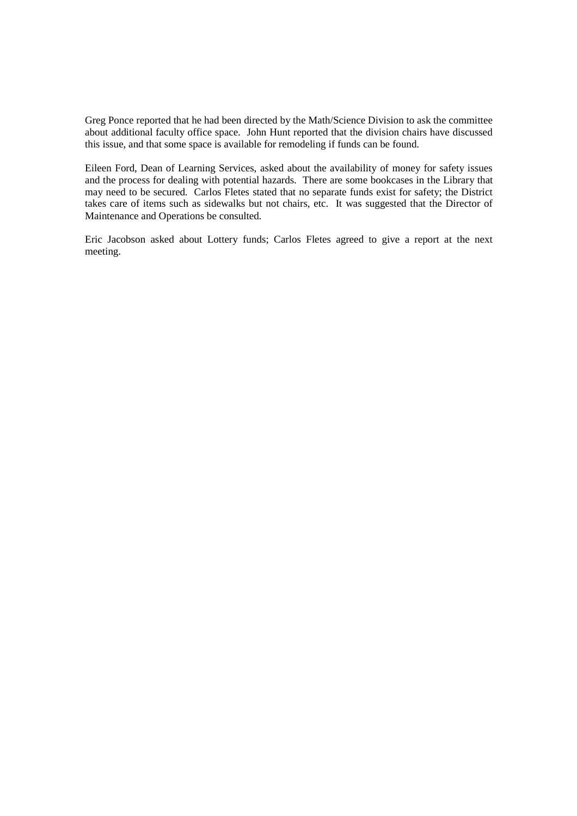Greg Ponce reported that he had been directed by the Math/Science Division to ask the committee about additional faculty office space. John Hunt reported that the division chairs have discussed this issue, and that some space is available for remodeling if funds can be found.

Eileen Ford, Dean of Learning Services, asked about the availability of money for safety issues and the process for dealing with potential hazards. There are some bookcases in the Library that may need to be secured. Carlos Fletes stated that no separate funds exist for safety; the District takes care of items such as sidewalks but not chairs, etc. It was suggested that the Director of Maintenance and Operations be consulted.

Eric Jacobson asked about Lottery funds; Carlos Fletes agreed to give a report at the next meeting.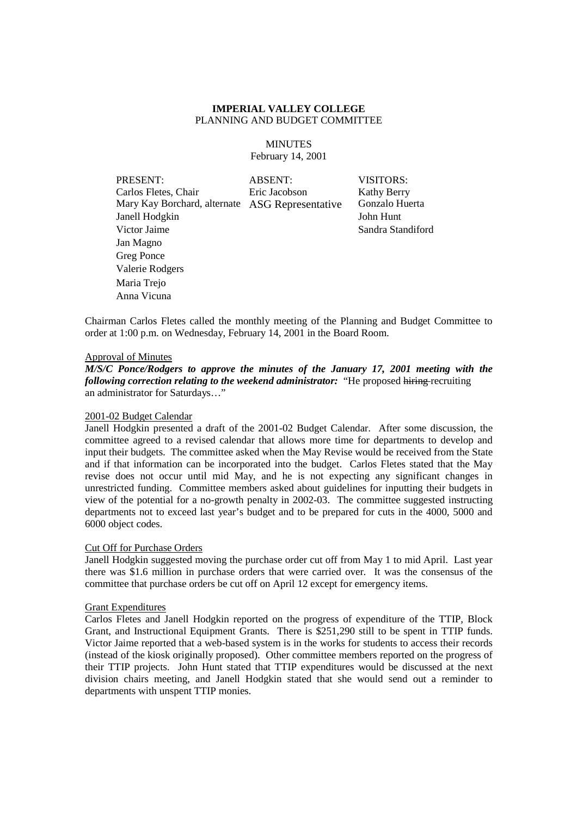**MINUTES** February 14, 2001

PRESENT: ABSENT: VISITORS: Carlos Fletes, Chair Eric Jacobson Kathy Berry Mary Kay Borchard, alternate ASG Representative Gonzalo Huerta Janell Hodgkin John Hunt Victor Jaime Sandra Standiford Jan Magno Greg Ponce Valerie Rodgers Maria Trejo Anna Vicuna

Chairman Carlos Fletes called the monthly meeting of the Planning and Budget Committee to order at 1:00 p.m. on Wednesday, February 14, 2001 in the Board Room.

#### Approval of Minutes

*M/S/C Ponce/Rodgers to approve the minutes of the January 17, 2001 meeting with the following correction relating to the weekend administrator:* "He proposed hiring recruiting an administrator for Saturdays…"

#### 2001-02 Budget Calendar

Janell Hodgkin presented a draft of the 2001-02 Budget Calendar. After some discussion, the committee agreed to a revised calendar that allows more time for departments to develop and input their budgets. The committee asked when the May Revise would be received from the State and if that information can be incorporated into the budget. Carlos Fletes stated that the May revise does not occur until mid May, and he is not expecting any significant changes in unrestricted funding. Committee members asked about guidelines for inputting their budgets in view of the potential for a no-growth penalty in 2002-03. The committee suggested instructing departments not to exceed last year's budget and to be prepared for cuts in the 4000, 5000 and 6000 object codes.

#### Cut Off for Purchase Orders

Janell Hodgkin suggested moving the purchase order cut off from May 1 to mid April. Last year there was \$1.6 million in purchase orders that were carried over. It was the consensus of the committee that purchase orders be cut off on April 12 except for emergency items.

#### Grant Expenditures

Carlos Fletes and Janell Hodgkin reported on the progress of expenditure of the TTIP, Block Grant, and Instructional Equipment Grants. There is \$251,290 still to be spent in TTIP funds. Victor Jaime reported that a web-based system is in the works for students to access their records (instead of the kiosk originally proposed). Other committee members reported on the progress of their TTIP projects. John Hunt stated that TTIP expenditures would be discussed at the next division chairs meeting, and Janell Hodgkin stated that she would send out a reminder to departments with unspent TTIP monies.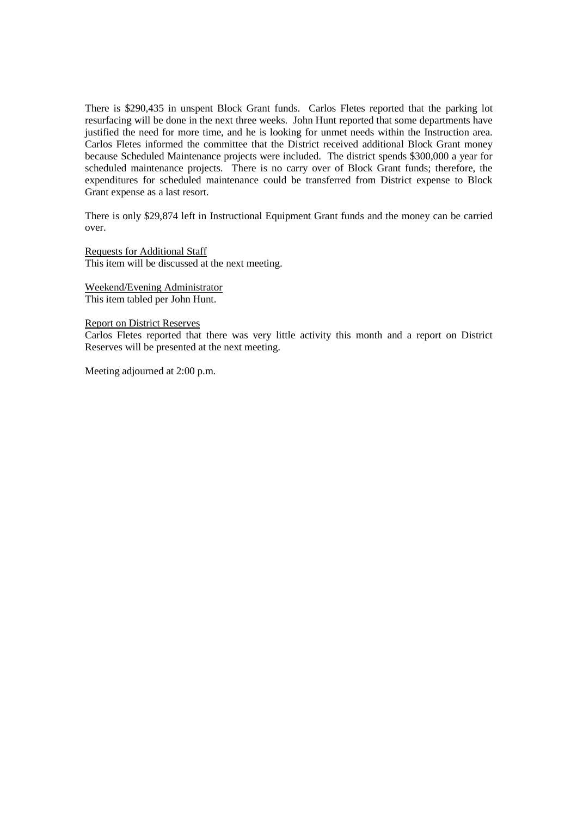There is \$290,435 in unspent Block Grant funds. Carlos Fletes reported that the parking lot resurfacing will be done in the next three weeks. John Hunt reported that some departments have justified the need for more time, and he is looking for unmet needs within the Instruction area. Carlos Fletes informed the committee that the District received additional Block Grant money because Scheduled Maintenance projects were included. The district spends \$300,000 a year for scheduled maintenance projects. There is no carry over of Block Grant funds; therefore, the expenditures for scheduled maintenance could be transferred from District expense to Block Grant expense as a last resort.

There is only \$29,874 left in Instructional Equipment Grant funds and the money can be carried over.

Requests for Additional Staff This item will be discussed at the next meeting.

Weekend/Evening Administrator This item tabled per John Hunt.

Report on District Reserves

Carlos Fletes reported that there was very little activity this month and a report on District Reserves will be presented at the next meeting.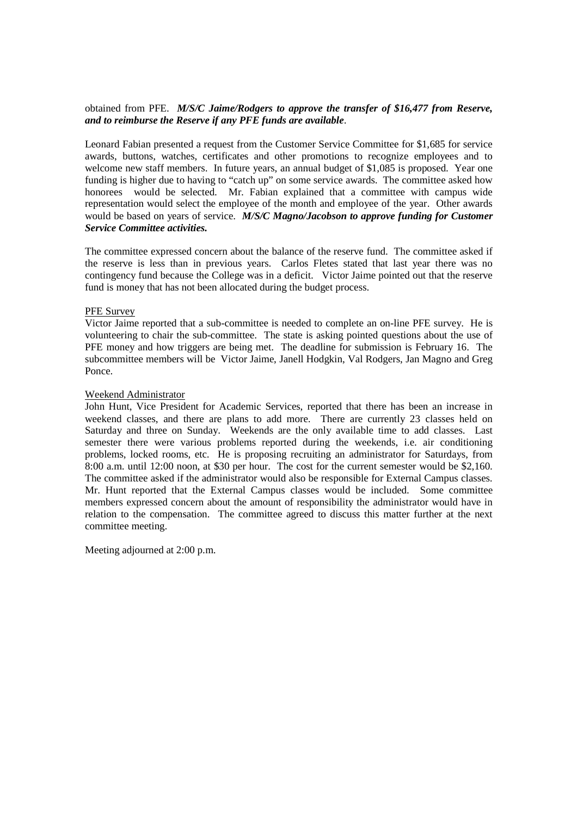## obtained from PFE. *M/S/C Jaime/Rodgers to approve the transfer of \$16,477 from Reserve, and to reimburse the Reserve if any PFE funds are available*.

Leonard Fabian presented a request from the Customer Service Committee for \$1,685 for service awards, buttons, watches, certificates and other promotions to recognize employees and to welcome new staff members. In future years, an annual budget of \$1,085 is proposed. Year one funding is higher due to having to "catch up" on some service awards. The committee asked how honorees would be selected. Mr. Fabian explained that a committee with campus wide representation would select the employee of the month and employee of the year. Other awards would be based on years of service. *M/S/C Magno/Jacobson to approve funding for Customer Service Committee activities.*

The committee expressed concern about the balance of the reserve fund. The committee asked if the reserve is less than in previous years. Carlos Fletes stated that last year there was no contingency fund because the College was in a deficit. Victor Jaime pointed out that the reserve fund is money that has not been allocated during the budget process.

#### PFE Survey

Victor Jaime reported that a sub-committee is needed to complete an on-line PFE survey. He is volunteering to chair the sub-committee. The state is asking pointed questions about the use of PFE money and how triggers are being met. The deadline for submission is February 16. The subcommittee members will be Victor Jaime, Janell Hodgkin, Val Rodgers, Jan Magno and Greg Ponce.

#### Weekend Administrator

John Hunt, Vice President for Academic Services, reported that there has been an increase in weekend classes, and there are plans to add more. There are currently 23 classes held on Saturday and three on Sunday. Weekends are the only available time to add classes. Last semester there were various problems reported during the weekends, i.e. air conditioning problems, locked rooms, etc. He is proposing recruiting an administrator for Saturdays, from 8:00 a.m. until 12:00 noon, at \$30 per hour. The cost for the current semester would be \$2,160. The committee asked if the administrator would also be responsible for External Campus classes. Mr. Hunt reported that the External Campus classes would be included. Some committee members expressed concern about the amount of responsibility the administrator would have in relation to the compensation. The committee agreed to discuss this matter further at the next committee meeting.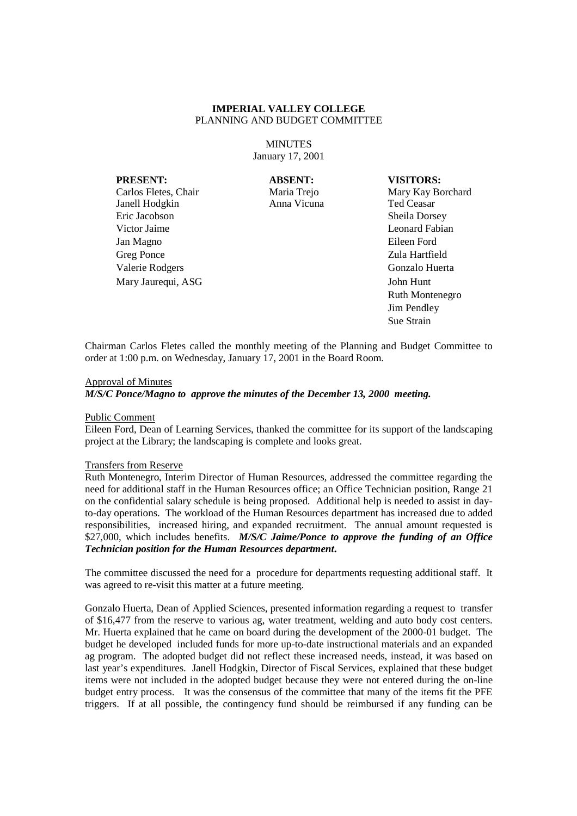**MINUTES** January 17, 2001

**PRESENT: ABSENT: VISITORS:**

Carlos Fletes, Chair Maria Trejo Mary Kay Borchard Janell Hodgkin Anna Vicuna Ted Ceasar Eric Jacobson Sheila Dorsey Victor Jaime **Leonard Fabian** Jan Magno Eileen Ford Greg Ponce Zula Hartfield Valerie Rodgers Gonzalo Huerta

Mary Jaurequi, ASG John Hunt Ruth Montenegro Jim Pendley Sue Strain

Chairman Carlos Fletes called the monthly meeting of the Planning and Budget Committee to order at 1:00 p.m. on Wednesday, January 17, 2001 in the Board Room.

#### Approval of Minutes

*M/S/C Ponce/Magno to approve the minutes of the December 13, 2000 meeting.*

#### Public Comment

Eileen Ford, Dean of Learning Services, thanked the committee for its support of the landscaping project at the Library; the landscaping is complete and looks great.

#### Transfers from Reserve

Ruth Montenegro, Interim Director of Human Resources, addressed the committee regarding the need for additional staff in the Human Resources office; an Office Technician position, Range 21 on the confidential salary schedule is being proposed. Additional help is needed to assist in dayto-day operations. The workload of the Human Resources department has increased due to added responsibilities, increased hiring, and expanded recruitment. The annual amount requested is \$27,000, which includes benefits. *M/S/C Jaime/Ponce to approve the funding of an Office Technician position for the Human Resources department***.**

The committee discussed the need for a procedure for departments requesting additional staff. It was agreed to re-visit this matter at a future meeting.

Gonzalo Huerta, Dean of Applied Sciences, presented information regarding a request to transfer of \$16,477 from the reserve to various ag, water treatment, welding and auto body cost centers. Mr. Huerta explained that he came on board during the development of the 2000-01 budget. The budget he developed included funds for more up-to-date instructional materials and an expanded ag program. The adopted budget did not reflect these increased needs, instead, it was based on last year's expenditures. Janell Hodgkin, Director of Fiscal Services, explained that these budget items were not included in the adopted budget because they were not entered during the on-line budget entry process. It was the consensus of the committee that many of the items fit the PFE triggers. If at all possible, the contingency fund should be reimbursed if any funding can be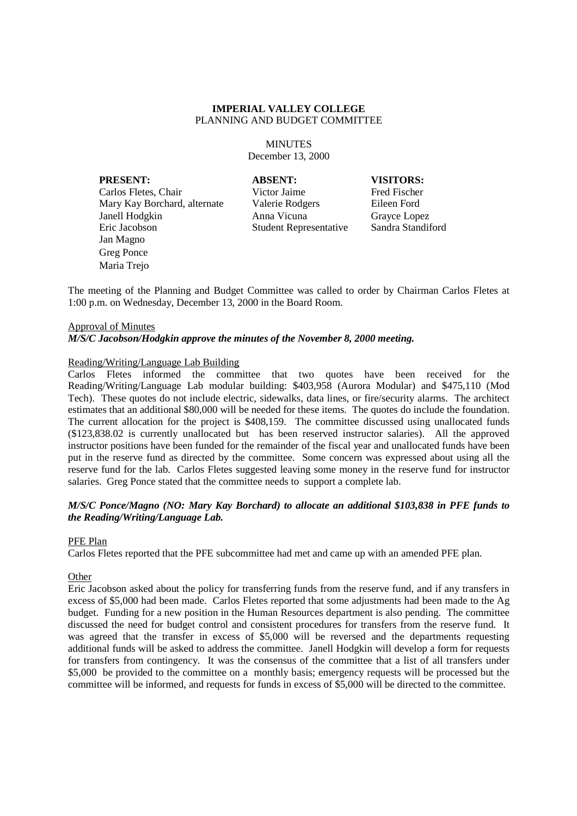**MINUTES** December 13, 2000

**PRESENT: ABSENT: VISITORS:**

Carlos Fletes, Chair Victor Jaime Fred Fischer Mary Kay Borchard, alternate Valerie Rodgers Eileen Ford Janell Hodgkin Anna Vicuna Grayce Lopez Eric Jacobson Student Representative Sandra Standiford Jan Magno Greg Ponce Maria Trejo

The meeting of the Planning and Budget Committee was called to order by Chairman Carlos Fletes at 1:00 p.m. on Wednesday, December 13, 2000 in the Board Room.

#### Approval of Minutes

## *M/S/C Jacobson/Hodgkin approve the minutes of the November 8, 2000 meeting.*

## Reading/Writing/Language Lab Building

Carlos Fletes informed the committee that two quotes have been received for the Reading/Writing/Language Lab modular building: \$403,958 (Aurora Modular) and \$475,110 (Mod Tech). These quotes do not include electric, sidewalks, data lines, or fire/security alarms. The architect estimates that an additional \$80,000 will be needed for these items. The quotes do include the foundation. The current allocation for the project is \$408,159. The committee discussed using unallocated funds (\$123,838.02 is currently unallocated but has been reserved instructor salaries). All the approved instructor positions have been funded for the remainder of the fiscal year and unallocated funds have been put in the reserve fund as directed by the committee. Some concern was expressed about using all the reserve fund for the lab. Carlos Fletes suggested leaving some money in the reserve fund for instructor salaries. Greg Ponce stated that the committee needs to support a complete lab.

## *M/S/C Ponce/Magno (NO: Mary Kay Borchard) to allocate an additional \$103,838 in PFE funds to the Reading/Writing/Language Lab.*

#### PFE Plan

Carlos Fletes reported that the PFE subcommittee had met and came up with an amended PFE plan.

#### **Other**

Eric Jacobson asked about the policy for transferring funds from the reserve fund, and if any transfers in excess of \$5,000 had been made. Carlos Fletes reported that some adjustments had been made to the Ag budget. Funding for a new position in the Human Resources department is also pending. The committee discussed the need for budget control and consistent procedures for transfers from the reserve fund. It was agreed that the transfer in excess of \$5,000 will be reversed and the departments requesting additional funds will be asked to address the committee. Janell Hodgkin will develop a form for requests for transfers from contingency. It was the consensus of the committee that a list of all transfers under \$5,000 be provided to the committee on a monthly basis; emergency requests will be processed but the committee will be informed, and requests for funds in excess of \$5,000 will be directed to the committee.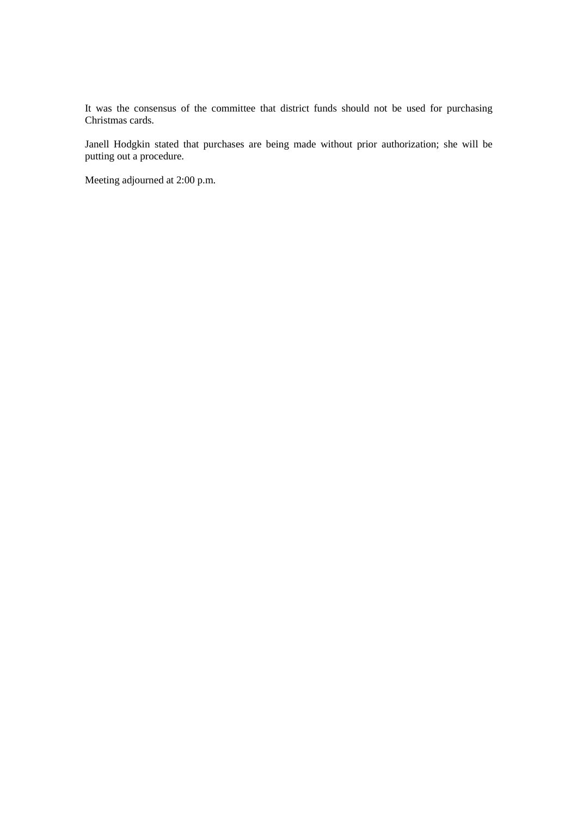It was the consensus of the committee that district funds should not be used for purchasing Christmas cards.

Janell Hodgkin stated that purchases are being made without prior authorization; she will be putting out a procedure.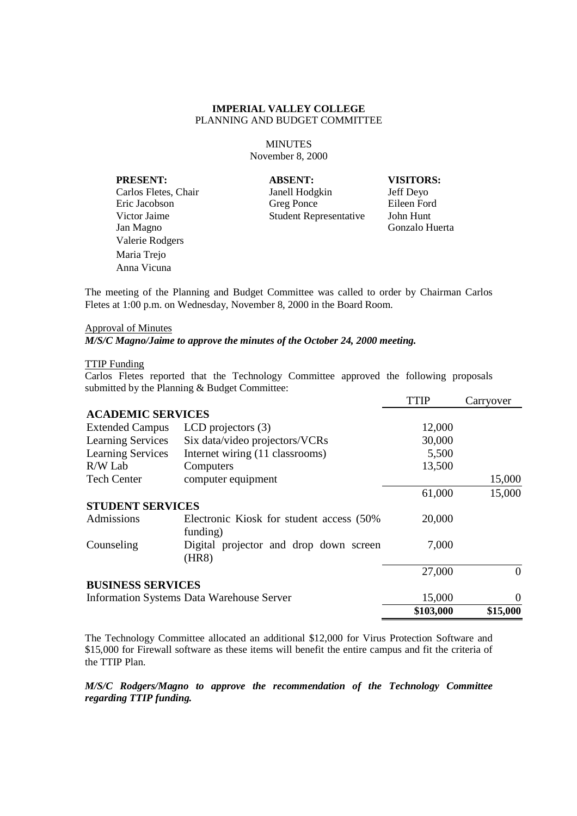**MINUTES** November 8, 2000

**PRESENT: ABSENT: VISITORS:** Jan Magno Gonzalo Huerta Valerie Rodgers Maria Trejo Anna Vicuna

Carlos Fletes, Chair Janell Hodgkin Jeff Deyo Eric Jacobson Greg Ponce Eileen Ford Victor Jaime Student Representative John Hunt

The meeting of the Planning and Budget Committee was called to order by Chairman Carlos Fletes at 1:00 p.m. on Wednesday, November 8, 2000 in the Board Room.

## Approval of Minutes

*M/S/C Magno/Jaime to approve the minutes of the October 24, 2000 meeting.*

## TTIP Funding

Carlos Fletes reported that the Technology Committee approved the following proposals submitted by the Planning & Budget Committee:

|                                                  |                                                       | <b>TTIP</b> | Carryover      |
|--------------------------------------------------|-------------------------------------------------------|-------------|----------------|
| <b>ACADEMIC SERVICES</b>                         |                                                       |             |                |
| <b>Extended Campus</b>                           | LCD projectors $(3)$                                  | 12,000      |                |
| <b>Learning Services</b>                         | Six data/video projectors/VCRs                        | 30,000      |                |
| <b>Learning Services</b>                         | Internet wiring (11 classrooms)                       | 5,500       |                |
| R/W Lab                                          | Computers                                             | 13,500      |                |
| <b>Tech Center</b>                               | computer equipment                                    |             | 15,000         |
|                                                  |                                                       | 61,000      | 15,000         |
| <b>STUDENT SERVICES</b>                          |                                                       |             |                |
| Admissions                                       | Electronic Kiosk for student access (50%)<br>funding) | 20,000      |                |
| Counseling                                       | Digital projector and drop down screen<br>(HR8)       | 7,000       |                |
|                                                  |                                                       | 27,000      | $\Omega$       |
| <b>BUSINESS SERVICES</b>                         |                                                       |             |                |
| <b>Information Systems Data Warehouse Server</b> |                                                       | 15,000      | $\overline{0}$ |
|                                                  |                                                       | \$103,000   | \$15,000       |

The Technology Committee allocated an additional \$12,000 for Virus Protection Software and \$15,000 for Firewall software as these items will benefit the entire campus and fit the criteria of the TTIP Plan.

*M/S/C Rodgers/Magno to approve the recommendation of the Technology Committee regarding TTIP funding.*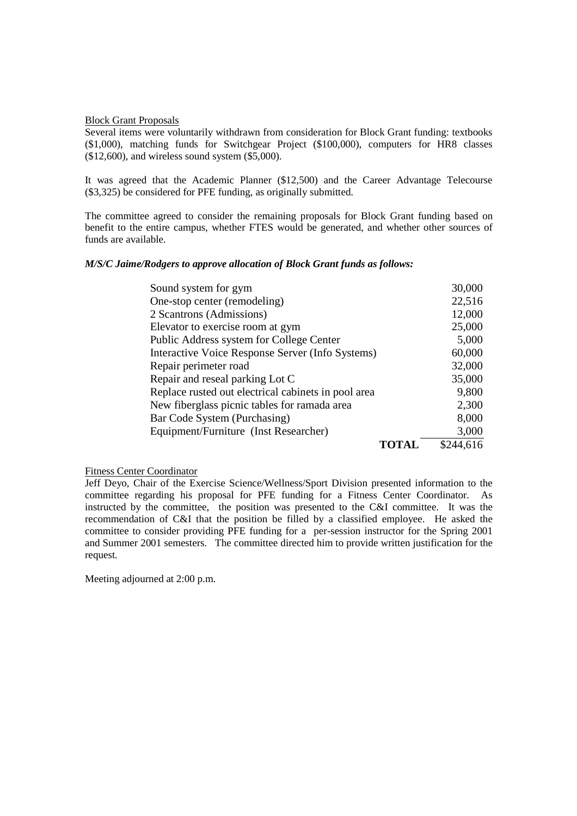Block Grant Proposals

Several items were voluntarily withdrawn from consideration for Block Grant funding: textbooks (\$1,000), matching funds for Switchgear Project (\$100,000), computers for HR8 classes (\$12,600), and wireless sound system (\$5,000).

It was agreed that the Academic Planner (\$12,500) and the Career Advantage Telecourse (\$3,325) be considered for PFE funding, as originally submitted.

The committee agreed to consider the remaining proposals for Block Grant funding based on benefit to the entire campus, whether FTES would be generated, and whether other sources of funds are available.

## *M/S/C Jaime/Rodgers to approve allocation of Block Grant funds as follows:*

| Sound system for gym                                | 30,000    |
|-----------------------------------------------------|-----------|
| One-stop center (remodeling)                        | 22,516    |
| 2 Scantrons (Admissions)                            | 12,000    |
| Elevator to exercise room at gym                    | 25,000    |
| Public Address system for College Center            | 5,000     |
| Interactive Voice Response Server (Info Systems)    | 60,000    |
| Repair perimeter road                               | 32,000    |
| Repair and reseal parking Lot C                     | 35,000    |
| Replace rusted out electrical cabinets in pool area | 9,800     |
| New fiberglass picnic tables for ramada area        | 2,300     |
| Bar Code System (Purchasing)                        | 8,000     |
| Equipment/Furniture (Inst Researcher)               | 3,000     |
| TOTAL                                               | \$244,616 |

#### Fitness Center Coordinator

Jeff Deyo, Chair of the Exercise Science/Wellness/Sport Division presented information to the committee regarding his proposal for PFE funding for a Fitness Center Coordinator. As instructed by the committee, the position was presented to the C&I committee. It was the recommendation of C&I that the position be filled by a classified employee. He asked the committee to consider providing PFE funding for a per-session instructor for the Spring 2001 and Summer 2001 semesters. The committee directed him to provide written justification for the request.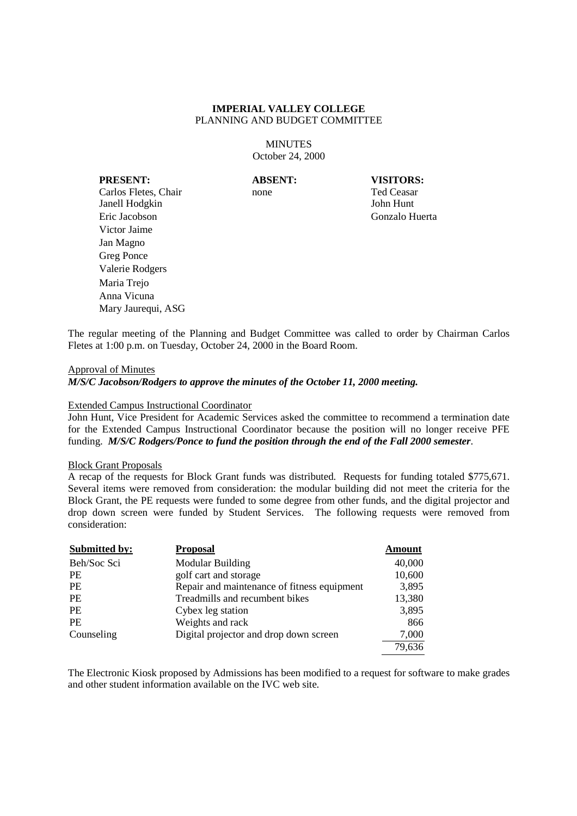**MINUTES** October 24, 2000

**PRESENT: ABSENT: VISITORS:** Carlos Fletes, Chair none none Ted Ceasar Janell Hodgkin John Hunt Eric Jacobson Gonzalo Huerta Victor Jaime Jan Magno Greg Ponce Valerie Rodgers Maria Trejo Anna Vicuna Mary Jaurequi, ASG

The regular meeting of the Planning and Budget Committee was called to order by Chairman Carlos Fletes at 1:00 p.m. on Tuesday, October 24, 2000 in the Board Room.

Approval of Minutes

*M/S/C Jacobson/Rodgers to approve the minutes of the October 11, 2000 meeting.*

#### Extended Campus Instructional Coordinator

John Hunt, Vice President for Academic Services asked the committee to recommend a termination date for the Extended Campus Instructional Coordinator because the position will no longer receive PFE funding. *M/S/C Rodgers/Ponce to fund the position through the end of the Fall 2000 semester*.

#### Block Grant Proposals

A recap of the requests for Block Grant funds was distributed. Requests for funding totaled \$775,671. Several items were removed from consideration: the modular building did not meet the criteria for the Block Grant, the PE requests were funded to some degree from other funds, and the digital projector and drop down screen were funded by Student Services. The following requests were removed from consideration:

| <b>Submitted by:</b> | <b>Proposal</b>                             | <b>Amount</b> |
|----------------------|---------------------------------------------|---------------|
| Beh/Soc Sci          | <b>Modular Building</b>                     | 40,000        |
| <b>PE</b>            | golf cart and storage                       | 10,600        |
| <b>PE</b>            | Repair and maintenance of fitness equipment | 3,895         |
| <b>PE</b>            | Treadmills and recumbent bikes              | 13,380        |
| <b>PE</b>            | Cybex leg station                           | 3,895         |
| <b>PE</b>            | Weights and rack                            | 866           |
| Counseling           | Digital projector and drop down screen      | 7,000         |
|                      |                                             | 79,636        |

The Electronic Kiosk proposed by Admissions has been modified to a request for software to make grades and other student information available on the IVC web site.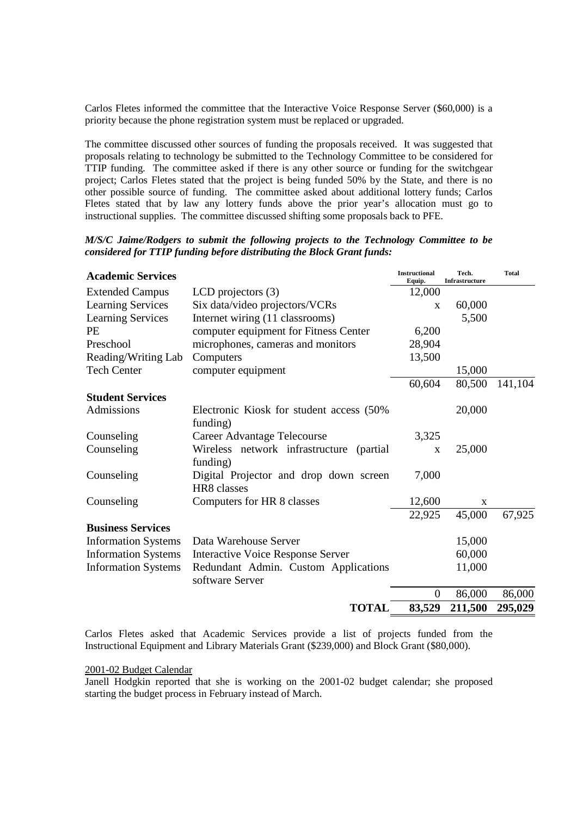Carlos Fletes informed the committee that the Interactive Voice Response Server (\$60,000) is a priority because the phone registration system must be replaced or upgraded.

The committee discussed other sources of funding the proposals received. It was suggested that proposals relating to technology be submitted to the Technology Committee to be considered for TTIP funding. The committee asked if there is any other source or funding for the switchgear project; Carlos Fletes stated that the project is being funded 50% by the State, and there is no other possible source of funding. The committee asked about additional lottery funds; Carlos Fletes stated that by law any lottery funds above the prior year's allocation must go to instructional supplies. The committee discussed shifting some proposals back to PFE.

| M/S/C Jaime/Rodgers to submit the following projects to the Technology Committee to be |  |  |
|----------------------------------------------------------------------------------------|--|--|
| considered for TTIP funding before distributing the Block Grant funds:                 |  |  |

| 12,000<br><b>Extended Campus</b><br>LCD projectors $(3)$<br><b>Learning Services</b><br>Six data/video projectors/VCRs<br>60,000<br>X<br>Internet wiring (11 classrooms)<br><b>Learning Services</b><br>5,500<br>PE<br>computer equipment for Fitness Center<br>6,200<br>microphones, cameras and monitors<br>Preschool<br>28,904<br>Reading/Writing Lab<br>Computers<br>13,500<br><b>Tech Center</b><br>15,000<br>computer equipment<br>60,604<br>80,500<br><b>Student Services</b><br>Admissions<br>20,000<br>Electronic Kiosk for student access (50%)<br>funding)<br>Counseling<br><b>Career Advantage Telecourse</b><br>3,325<br>Counseling<br>Wireless network infrastructure<br>25,000<br>(partial)<br>X<br>funding)<br>Counseling<br>Digital Projector and drop down screen<br>7,000<br>HR8 classes<br>Computers for HR 8 classes<br>12,600<br>Counseling<br>X<br>22,925<br>45,000<br><b>Business Services</b><br>15,000<br><b>Information Systems</b><br>Data Warehouse Server<br><b>Information Systems</b><br>60,000<br><b>Interactive Voice Response Server</b><br><b>Information Systems</b><br>Redundant Admin. Custom Applications<br>11,000<br>software Server<br>86,000<br>$\boldsymbol{0}$<br><b>TOTAL</b><br>83,529<br>211,500 | <b>Academic Services</b> | <b>Instructional</b><br>Equip. | Tech.<br>Infrastructure | <b>Total</b> |
|---------------------------------------------------------------------------------------------------------------------------------------------------------------------------------------------------------------------------------------------------------------------------------------------------------------------------------------------------------------------------------------------------------------------------------------------------------------------------------------------------------------------------------------------------------------------------------------------------------------------------------------------------------------------------------------------------------------------------------------------------------------------------------------------------------------------------------------------------------------------------------------------------------------------------------------------------------------------------------------------------------------------------------------------------------------------------------------------------------------------------------------------------------------------------------------------------------------------------------------------------|--------------------------|--------------------------------|-------------------------|--------------|
|                                                                                                                                                                                                                                                                                                                                                                                                                                                                                                                                                                                                                                                                                                                                                                                                                                                                                                                                                                                                                                                                                                                                                                                                                                                   |                          |                                |                         |              |
|                                                                                                                                                                                                                                                                                                                                                                                                                                                                                                                                                                                                                                                                                                                                                                                                                                                                                                                                                                                                                                                                                                                                                                                                                                                   |                          |                                |                         |              |
|                                                                                                                                                                                                                                                                                                                                                                                                                                                                                                                                                                                                                                                                                                                                                                                                                                                                                                                                                                                                                                                                                                                                                                                                                                                   |                          |                                |                         |              |
|                                                                                                                                                                                                                                                                                                                                                                                                                                                                                                                                                                                                                                                                                                                                                                                                                                                                                                                                                                                                                                                                                                                                                                                                                                                   |                          |                                |                         |              |
|                                                                                                                                                                                                                                                                                                                                                                                                                                                                                                                                                                                                                                                                                                                                                                                                                                                                                                                                                                                                                                                                                                                                                                                                                                                   |                          |                                |                         |              |
|                                                                                                                                                                                                                                                                                                                                                                                                                                                                                                                                                                                                                                                                                                                                                                                                                                                                                                                                                                                                                                                                                                                                                                                                                                                   |                          |                                |                         |              |
|                                                                                                                                                                                                                                                                                                                                                                                                                                                                                                                                                                                                                                                                                                                                                                                                                                                                                                                                                                                                                                                                                                                                                                                                                                                   |                          |                                |                         |              |
|                                                                                                                                                                                                                                                                                                                                                                                                                                                                                                                                                                                                                                                                                                                                                                                                                                                                                                                                                                                                                                                                                                                                                                                                                                                   |                          |                                |                         | 141,104      |
|                                                                                                                                                                                                                                                                                                                                                                                                                                                                                                                                                                                                                                                                                                                                                                                                                                                                                                                                                                                                                                                                                                                                                                                                                                                   |                          |                                |                         |              |
|                                                                                                                                                                                                                                                                                                                                                                                                                                                                                                                                                                                                                                                                                                                                                                                                                                                                                                                                                                                                                                                                                                                                                                                                                                                   |                          |                                |                         |              |
|                                                                                                                                                                                                                                                                                                                                                                                                                                                                                                                                                                                                                                                                                                                                                                                                                                                                                                                                                                                                                                                                                                                                                                                                                                                   |                          |                                |                         |              |
|                                                                                                                                                                                                                                                                                                                                                                                                                                                                                                                                                                                                                                                                                                                                                                                                                                                                                                                                                                                                                                                                                                                                                                                                                                                   |                          |                                |                         |              |
|                                                                                                                                                                                                                                                                                                                                                                                                                                                                                                                                                                                                                                                                                                                                                                                                                                                                                                                                                                                                                                                                                                                                                                                                                                                   |                          |                                |                         |              |
|                                                                                                                                                                                                                                                                                                                                                                                                                                                                                                                                                                                                                                                                                                                                                                                                                                                                                                                                                                                                                                                                                                                                                                                                                                                   |                          |                                |                         |              |
|                                                                                                                                                                                                                                                                                                                                                                                                                                                                                                                                                                                                                                                                                                                                                                                                                                                                                                                                                                                                                                                                                                                                                                                                                                                   |                          |                                |                         |              |
|                                                                                                                                                                                                                                                                                                                                                                                                                                                                                                                                                                                                                                                                                                                                                                                                                                                                                                                                                                                                                                                                                                                                                                                                                                                   |                          |                                |                         | 67,925       |
|                                                                                                                                                                                                                                                                                                                                                                                                                                                                                                                                                                                                                                                                                                                                                                                                                                                                                                                                                                                                                                                                                                                                                                                                                                                   |                          |                                |                         |              |
|                                                                                                                                                                                                                                                                                                                                                                                                                                                                                                                                                                                                                                                                                                                                                                                                                                                                                                                                                                                                                                                                                                                                                                                                                                                   |                          |                                |                         |              |
|                                                                                                                                                                                                                                                                                                                                                                                                                                                                                                                                                                                                                                                                                                                                                                                                                                                                                                                                                                                                                                                                                                                                                                                                                                                   |                          |                                |                         |              |
|                                                                                                                                                                                                                                                                                                                                                                                                                                                                                                                                                                                                                                                                                                                                                                                                                                                                                                                                                                                                                                                                                                                                                                                                                                                   |                          |                                |                         |              |
|                                                                                                                                                                                                                                                                                                                                                                                                                                                                                                                                                                                                                                                                                                                                                                                                                                                                                                                                                                                                                                                                                                                                                                                                                                                   |                          |                                |                         | 86,000       |
|                                                                                                                                                                                                                                                                                                                                                                                                                                                                                                                                                                                                                                                                                                                                                                                                                                                                                                                                                                                                                                                                                                                                                                                                                                                   |                          |                                |                         | 295,029      |

Carlos Fletes asked that Academic Services provide a list of projects funded from the Instructional Equipment and Library Materials Grant (\$239,000) and Block Grant (\$80,000).

#### 2001-02 Budget Calendar

Janell Hodgkin reported that she is working on the 2001-02 budget calendar; she proposed starting the budget process in February instead of March.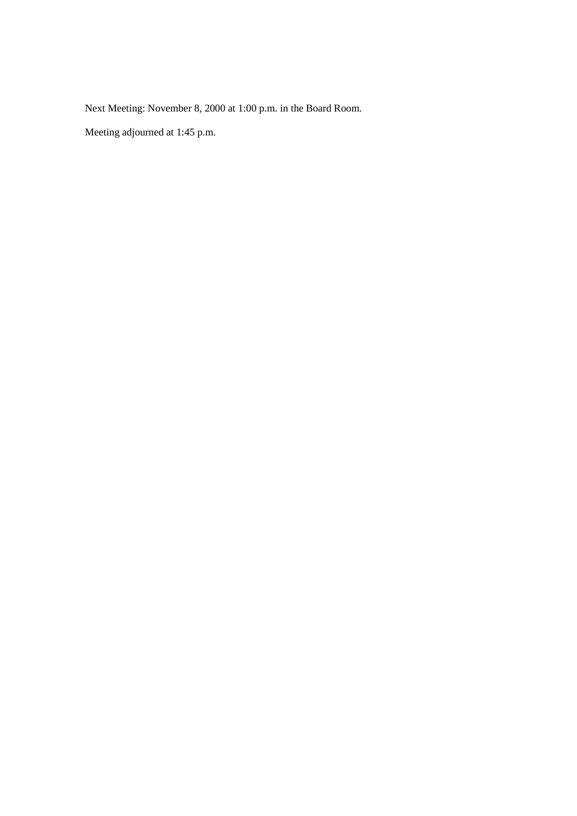Next Meeting: November 8, 2000 at 1:00 p.m. in the Board Room.

Meeting adjourned at 1:45 p.m.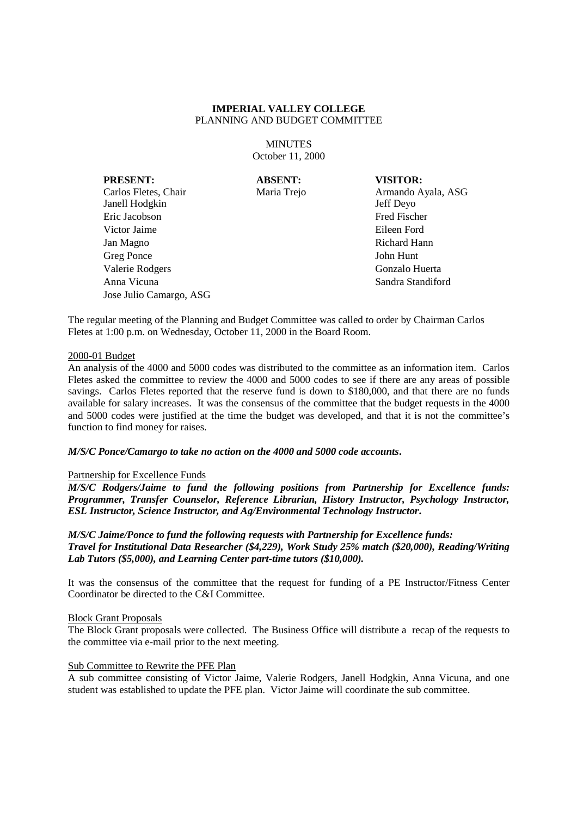**MINUTES** October 11, 2000

**PRESENT: ABSENT: VISITOR:**

Jose Julio Camargo, ASG

Janell Hodgkin Jeff Deyo Eric Jacobson Fred Fischer Victor Jaime **Eileen Ford** 

Carlos Fletes, Chair Maria Trejo Armando Ayala, ASG Jan Magno Richard Hann Greg Ponce John Hunt Valerie Rodgers Gonzalo Huerta Anna Vicuna Sandra Standiford

The regular meeting of the Planning and Budget Committee was called to order by Chairman Carlos Fletes at 1:00 p.m. on Wednesday, October 11, 2000 in the Board Room.

#### 2000-01 Budget

An analysis of the 4000 and 5000 codes was distributed to the committee as an information item. Carlos Fletes asked the committee to review the 4000 and 5000 codes to see if there are any areas of possible savings. Carlos Fletes reported that the reserve fund is down to \$180,000, and that there are no funds available for salary increases. It was the consensus of the committee that the budget requests in the 4000 and 5000 codes were justified at the time the budget was developed, and that it is not the committee's function to find money for raises.

#### *M/S/C Ponce/Camargo to take no action on the 4000 and 5000 code accounts***.**

#### Partnership for Excellence Funds

*M/S/C Rodgers/Jaime to fund the following positions from Partnership for Excellence funds: Programmer, Transfer Counselor, Reference Librarian, History Instructor, Psychology Instructor, ESL Instructor, Science Instructor, and Ag/Environmental Technology Instructor***.**

*M/S/C Jaime/Ponce to fund the following requests with Partnership for Excellence funds: Travel for Institutional Data Researcher (\$4,229), Work Study 25% match (\$20,000), Reading/Writing Lab Tutors (\$5,000), and Learning Center part-time tutors (\$10,000).*

It was the consensus of the committee that the request for funding of a PE Instructor/Fitness Center Coordinator be directed to the C&I Committee.

# Block Grant Proposals

The Block Grant proposals were collected. The Business Office will distribute a recap of the requests to the committee via e-mail prior to the next meeting.

## Sub Committee to Rewrite the PFE Plan

A sub committee consisting of Victor Jaime, Valerie Rodgers, Janell Hodgkin, Anna Vicuna, and one student was established to update the PFE plan. Victor Jaime will coordinate the sub committee.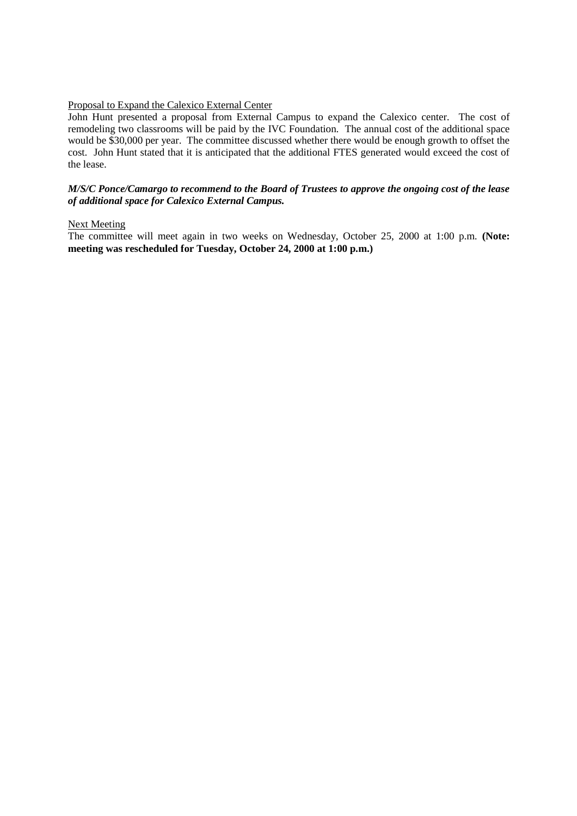# Proposal to Expand the Calexico External Center

John Hunt presented a proposal from External Campus to expand the Calexico center. The cost of remodeling two classrooms will be paid by the IVC Foundation. The annual cost of the additional space would be \$30,000 per year. The committee discussed whether there would be enough growth to offset the cost. John Hunt stated that it is anticipated that the additional FTES generated would exceed the cost of the lease.

## *M/S/C Ponce/Camargo to recommend to the Board of Trustees to approve the ongoing cost of the lease of additional space for Calexico External Campus.*

## Next Meeting

The committee will meet again in two weeks on Wednesday, October 25, 2000 at 1:00 p.m. **(Note: meeting was rescheduled for Tuesday, October 24, 2000 at 1:00 p.m.)**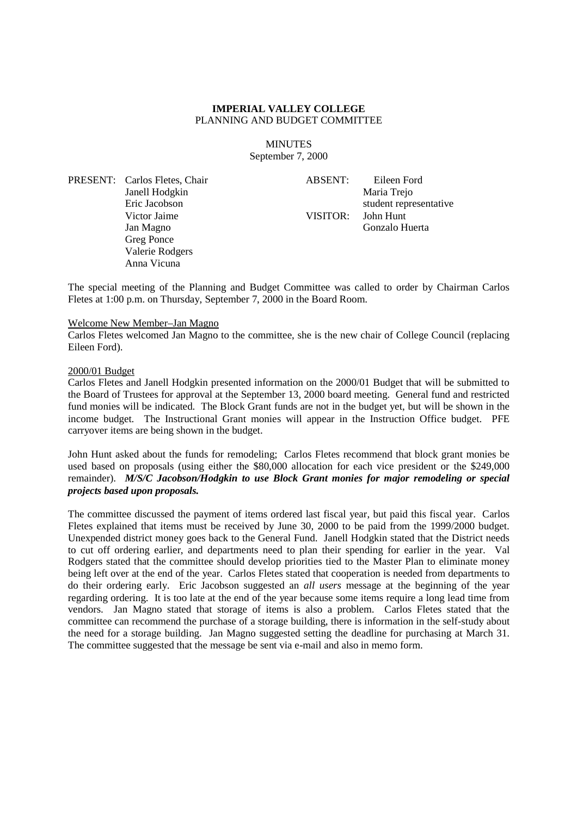#### **MINUTES** September 7, 2000

PRESENT: Carlos Fletes, Chair Janell Hodgkin Eric Jacobson Victor Jaime Jan Magno Greg Ponce Valerie Rodgers Anna Vicuna

ABSENT: Eileen Ford Maria Trejo student representative VISITOR: John Hunt Gonzalo Huerta

The special meeting of the Planning and Budget Committee was called to order by Chairman Carlos Fletes at 1:00 p.m. on Thursday, September 7, 2000 in the Board Room.

## Welcome New Member–Jan Magno

Carlos Fletes welcomed Jan Magno to the committee, she is the new chair of College Council (replacing Eileen Ford).

### 2000/01 Budget

Carlos Fletes and Janell Hodgkin presented information on the 2000/01 Budget that will be submitted to the Board of Trustees for approval at the September 13, 2000 board meeting. General fund and restricted fund monies will be indicated. The Block Grant funds are not in the budget yet, but will be shown in the income budget. The Instructional Grant monies will appear in the Instruction Office budget. PFE carryover items are being shown in the budget.

John Hunt asked about the funds for remodeling; Carlos Fletes recommend that block grant monies be used based on proposals (using either the \$80,000 allocation for each vice president or the \$249,000 remainder). *M/S/C Jacobson/Hodgkin to use Block Grant monies for major remodeling or special projects based upon proposals.*

The committee discussed the payment of items ordered last fiscal year, but paid this fiscal year. Carlos Fletes explained that items must be received by June 30, 2000 to be paid from the 1999/2000 budget. Unexpended district money goes back to the General Fund. Janell Hodgkin stated that the District needs to cut off ordering earlier, and departments need to plan their spending for earlier in the year. Val Rodgers stated that the committee should develop priorities tied to the Master Plan to eliminate money being left over at the end of the year. Carlos Fletes stated that cooperation is needed from departments to do their ordering early. Eric Jacobson suggested an *all users* message at the beginning of the year regarding ordering. It is too late at the end of the year because some items require a long lead time from vendors. Jan Magno stated that storage of items is also a problem. Carlos Fletes stated that the committee can recommend the purchase of a storage building, there is information in the self-study about the need for a storage building. Jan Magno suggested setting the deadline for purchasing at March 31. The committee suggested that the message be sent via e-mail and also in memo form.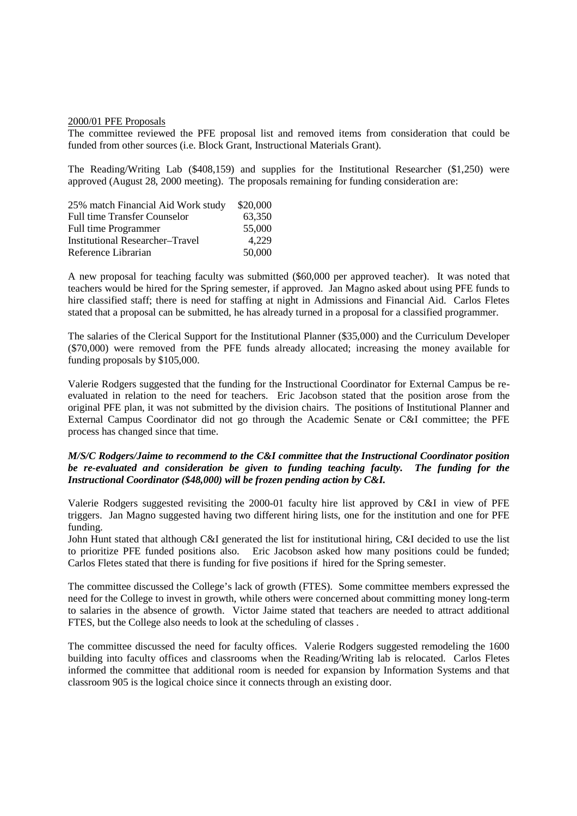#### 2000/01 PFE Proposals

The committee reviewed the PFE proposal list and removed items from consideration that could be funded from other sources (i.e. Block Grant, Instructional Materials Grant).

The Reading/Writing Lab (\$408,159) and supplies for the Institutional Researcher (\$1,250) were approved (August 28, 2000 meeting). The proposals remaining for funding consideration are:

| 25% match Financial Aid Work study     | \$20,000 |
|----------------------------------------|----------|
| <b>Full time Transfer Counselor</b>    | 63,350   |
| Full time Programmer                   | 55,000   |
| <b>Institutional Researcher-Travel</b> | 4.229    |
| Reference Librarian                    | 50,000   |

A new proposal for teaching faculty was submitted (\$60,000 per approved teacher). It was noted that teachers would be hired for the Spring semester, if approved. Jan Magno asked about using PFE funds to hire classified staff; there is need for staffing at night in Admissions and Financial Aid. Carlos Fletes stated that a proposal can be submitted, he has already turned in a proposal for a classified programmer.

The salaries of the Clerical Support for the Institutional Planner (\$35,000) and the Curriculum Developer (\$70,000) were removed from the PFE funds already allocated; increasing the money available for funding proposals by \$105,000.

Valerie Rodgers suggested that the funding for the Instructional Coordinator for External Campus be reevaluated in relation to the need for teachers. Eric Jacobson stated that the position arose from the original PFE plan, it was not submitted by the division chairs. The positions of Institutional Planner and External Campus Coordinator did not go through the Academic Senate or C&I committee; the PFE process has changed since that time.

## *M/S/C Rodgers/Jaime to recommend to the C&I committee that the Instructional Coordinator position be re-evaluated and consideration be given to funding teaching faculty. The funding for the Instructional Coordinator (\$48,000) will be frozen pending action by C&I.*

Valerie Rodgers suggested revisiting the 2000-01 faculty hire list approved by C&I in view of PFE triggers. Jan Magno suggested having two different hiring lists, one for the institution and one for PFE funding.

John Hunt stated that although C&I generated the list for institutional hiring, C&I decided to use the list to prioritize PFE funded positions also. Eric Jacobson asked how many positions could be funded; Carlos Fletes stated that there is funding for five positions if hired for the Spring semester.

The committee discussed the College's lack of growth (FTES). Some committee members expressed the need for the College to invest in growth, while others were concerned about committing money long-term to salaries in the absence of growth. Victor Jaime stated that teachers are needed to attract additional FTES, but the College also needs to look at the scheduling of classes .

The committee discussed the need for faculty offices. Valerie Rodgers suggested remodeling the 1600 building into faculty offices and classrooms when the Reading/Writing lab is relocated. Carlos Fletes informed the committee that additional room is needed for expansion by Information Systems and that classroom 905 is the logical choice since it connects through an existing door.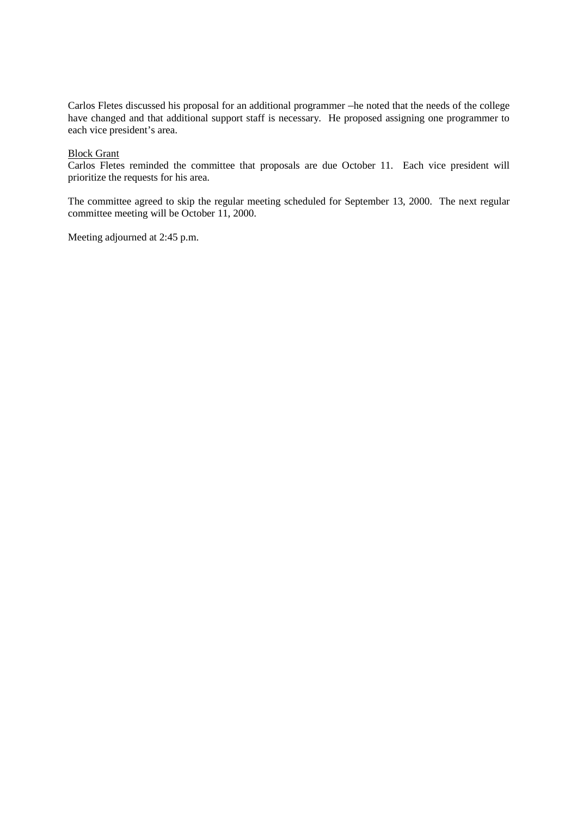Carlos Fletes discussed his proposal for an additional programmer –he noted that the needs of the college have changed and that additional support staff is necessary. He proposed assigning one programmer to each vice president's area.

# Block Grant

Carlos Fletes reminded the committee that proposals are due October 11. Each vice president will prioritize the requests for his area.

The committee agreed to skip the regular meeting scheduled for September 13, 2000. The next regular committee meeting will be October 11, 2000.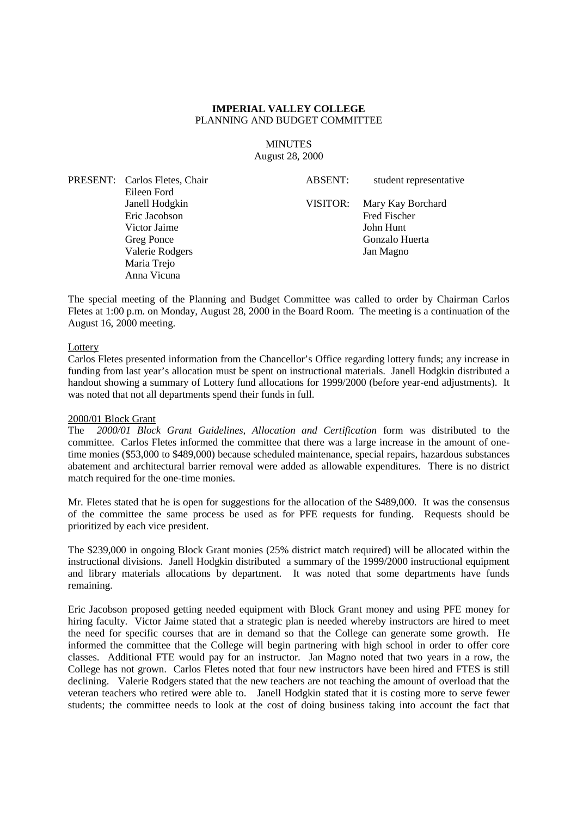**MINUTES** August 28, 2000

PRESENT: Carlos Fletes, Chair Eileen Ford Janell Hodgkin Eric Jacobson Victor Jaime Greg Ponce Valerie Rodgers Maria Trejo Anna Vicuna

ABSENT: student representative VISITOR: Mary Kay Borchard Fred Fischer John Hunt Gonzalo Huerta Jan Magno

The special meeting of the Planning and Budget Committee was called to order by Chairman Carlos Fletes at 1:00 p.m. on Monday, August 28, 2000 in the Board Room. The meeting is a continuation of the August 16, 2000 meeting.

#### **Lottery**

Carlos Fletes presented information from the Chancellor's Office regarding lottery funds; any increase in funding from last year's allocation must be spent on instructional materials. Janell Hodgkin distributed a handout showing a summary of Lottery fund allocations for 1999/2000 (before year-end adjustments). It was noted that not all departments spend their funds in full.

#### 2000/01 Block Grant

The *2000/01 Block Grant Guidelines, Allocation and Certification* form was distributed to the committee. Carlos Fletes informed the committee that there was a large increase in the amount of onetime monies (\$53,000 to \$489,000) because scheduled maintenance, special repairs, hazardous substances abatement and architectural barrier removal were added as allowable expenditures. There is no district match required for the one-time monies.

Mr. Fletes stated that he is open for suggestions for the allocation of the \$489,000. It was the consensus of the committee the same process be used as for PFE requests for funding. Requests should be prioritized by each vice president.

The \$239,000 in ongoing Block Grant monies (25% district match required) will be allocated within the instructional divisions. Janell Hodgkin distributed a summary of the 1999/2000 instructional equipment and library materials allocations by department. It was noted that some departments have funds remaining.

Eric Jacobson proposed getting needed equipment with Block Grant money and using PFE money for hiring faculty. Victor Jaime stated that a strategic plan is needed whereby instructors are hired to meet the need for specific courses that are in demand so that the College can generate some growth. He informed the committee that the College will begin partnering with high school in order to offer core classes. Additional FTE would pay for an instructor. Jan Magno noted that two years in a row, the College has not grown. Carlos Fletes noted that four new instructors have been hired and FTES is still declining. Valerie Rodgers stated that the new teachers are not teaching the amount of overload that the veteran teachers who retired were able to. Janell Hodgkin stated that it is costing more to serve fewer students; the committee needs to look at the cost of doing business taking into account the fact that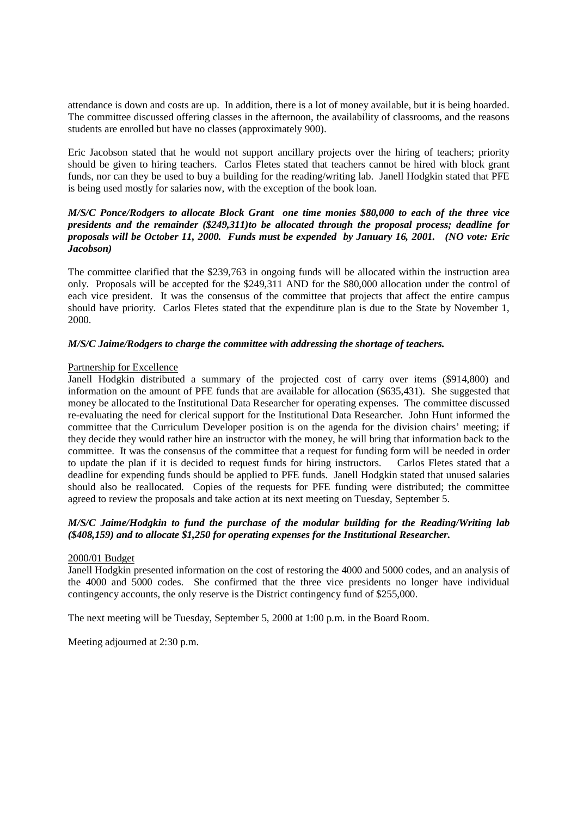attendance is down and costs are up. In addition, there is a lot of money available, but it is being hoarded. The committee discussed offering classes in the afternoon, the availability of classrooms, and the reasons students are enrolled but have no classes (approximately 900).

Eric Jacobson stated that he would not support ancillary projects over the hiring of teachers; priority should be given to hiring teachers. Carlos Fletes stated that teachers cannot be hired with block grant funds, nor can they be used to buy a building for the reading/writing lab. Janell Hodgkin stated that PFE is being used mostly for salaries now, with the exception of the book loan.

# *M/S/C Ponce/Rodgers to allocate Block Grant one time monies \$80,000 to each of the three vice presidents and the remainder (\$249,311)to be allocated through the proposal process; deadline for proposals will be October 11, 2000. Funds must be expended by January 16, 2001. (NO vote: Eric Jacobson)*

The committee clarified that the \$239,763 in ongoing funds will be allocated within the instruction area only. Proposals will be accepted for the \$249,311 AND for the \$80,000 allocation under the control of each vice president. It was the consensus of the committee that projects that affect the entire campus should have priority. Carlos Fletes stated that the expenditure plan is due to the State by November 1, 2000.

# *M/S/C Jaime/Rodgers to charge the committee with addressing the shortage of teachers.*

# Partnership for Excellence

Janell Hodgkin distributed a summary of the projected cost of carry over items (\$914,800) and information on the amount of PFE funds that are available for allocation (\$635,431). She suggested that money be allocated to the Institutional Data Researcher for operating expenses. The committee discussed re-evaluating the need for clerical support for the Institutional Data Researcher. John Hunt informed the committee that the Curriculum Developer position is on the agenda for the division chairs' meeting; if they decide they would rather hire an instructor with the money, he will bring that information back to the committee. It was the consensus of the committee that a request for funding form will be needed in order to update the plan if it is decided to request funds for hiring instructors. Carlos Fletes stated that a deadline for expending funds should be applied to PFE funds. Janell Hodgkin stated that unused salaries should also be reallocated. Copies of the requests for PFE funding were distributed; the committee agreed to review the proposals and take action at its next meeting on Tuesday, September 5.

# *M/S/C Jaime/Hodgkin to fund the purchase of the modular building for the Reading/Writing lab (\$408,159) and to allocate \$1,250 for operating expenses for the Institutional Researcher.*

# 2000/01 Budget

Janell Hodgkin presented information on the cost of restoring the 4000 and 5000 codes, and an analysis of the 4000 and 5000 codes. She confirmed that the three vice presidents no longer have individual contingency accounts, the only reserve is the District contingency fund of \$255,000.

The next meeting will be Tuesday, September 5, 2000 at 1:00 p.m. in the Board Room.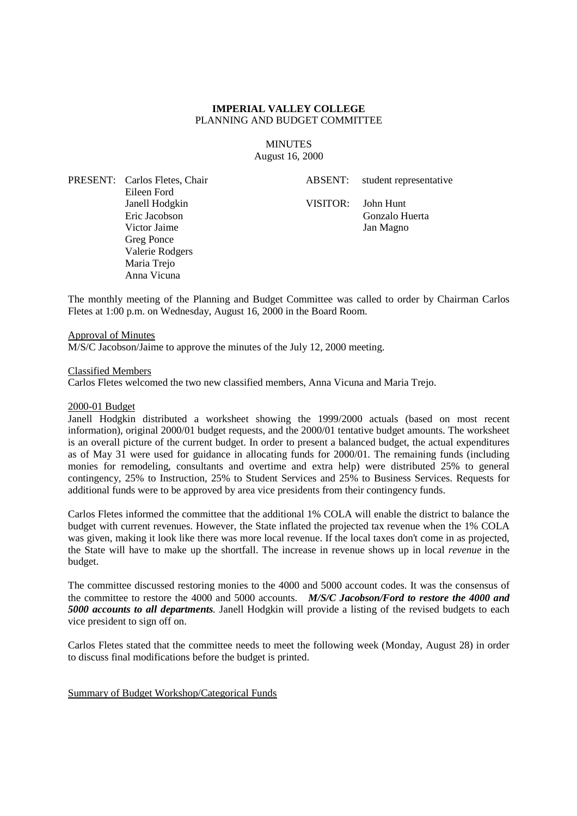### **MINUTES** August 16, 2000

PRESENT: Carlos Fletes, Chair Eileen Ford Janell Hodgkin Eric Jacobson Victor Jaime Greg Ponce Valerie Rodgers Maria Trejo Anna Vicuna

ABSENT: student representative

VISITOR: John Hunt Gonzalo Huerta Jan Magno

The monthly meeting of the Planning and Budget Committee was called to order by Chairman Carlos Fletes at 1:00 p.m. on Wednesday, August 16, 2000 in the Board Room.

#### Approval of Minutes

M/S/C Jacobson/Jaime to approve the minutes of the July 12, 2000 meeting.

#### Classified Members

Carlos Fletes welcomed the two new classified members, Anna Vicuna and Maria Trejo.

#### 2000-01 Budget

Janell Hodgkin distributed a worksheet showing the 1999/2000 actuals (based on most recent information), original 2000/01 budget requests, and the 2000/01 tentative budget amounts. The worksheet is an overall picture of the current budget. In order to present a balanced budget, the actual expenditures as of May 31 were used for guidance in allocating funds for 2000/01. The remaining funds (including monies for remodeling, consultants and overtime and extra help) were distributed 25% to general contingency, 25% to Instruction, 25% to Student Services and 25% to Business Services. Requests for additional funds were to be approved by area vice presidents from their contingency funds.

Carlos Fletes informed the committee that the additional 1% COLA will enable the district to balance the budget with current revenues. However, the State inflated the projected tax revenue when the 1% COLA was given, making it look like there was more local revenue. If the local taxes don't come in as projected, the State will have to make up the shortfall. The increase in revenue shows up in local *revenue* in the budget.

The committee discussed restoring monies to the 4000 and 5000 account codes. It was the consensus of the committee to restore the 4000 and 5000 accounts. *M/S/C Jacobson/Ford to restore the 4000 and 5000 accounts to all departments.* Janell Hodgkin will provide a listing of the revised budgets to each vice president to sign off on.

Carlos Fletes stated that the committee needs to meet the following week (Monday, August 28) in order to discuss final modifications before the budget is printed.

Summary of Budget Workshop/Categorical Funds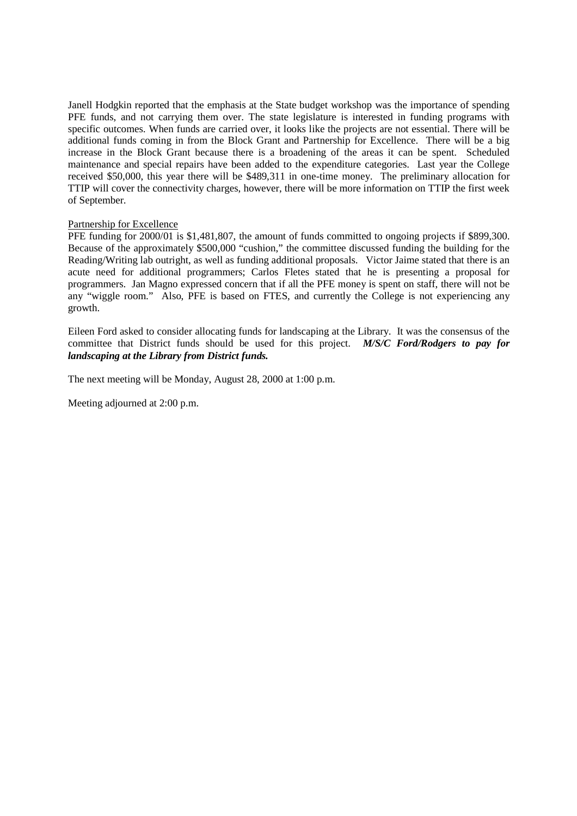Janell Hodgkin reported that the emphasis at the State budget workshop was the importance of spending PFE funds, and not carrying them over. The state legislature is interested in funding programs with specific outcomes. When funds are carried over, it looks like the projects are not essential. There will be additional funds coming in from the Block Grant and Partnership for Excellence. There will be a big increase in the Block Grant because there is a broadening of the areas it can be spent. Scheduled maintenance and special repairs have been added to the expenditure categories. Last year the College received \$50,000, this year there will be \$489,311 in one-time money. The preliminary allocation for TTIP will cover the connectivity charges, however, there will be more information on TTIP the first week of September.

## Partnership for Excellence

PFE funding for 2000/01 is \$1,481,807, the amount of funds committed to ongoing projects if \$899,300. Because of the approximately \$500,000 "cushion," the committee discussed funding the building for the Reading/Writing lab outright, as well as funding additional proposals. Victor Jaime stated that there is an acute need for additional programmers; Carlos Fletes stated that he is presenting a proposal for programmers. Jan Magno expressed concern that if all the PFE money is spent on staff, there will not be any "wiggle room." Also, PFE is based on FTES, and currently the College is not experiencing any growth.

Eileen Ford asked to consider allocating funds for landscaping at the Library. It was the consensus of the committee that District funds should be used for this project. *M/S/C Ford/Rodgers to pay for landscaping at the Library from District funds.*

The next meeting will be Monday, August 28, 2000 at 1:00 p.m.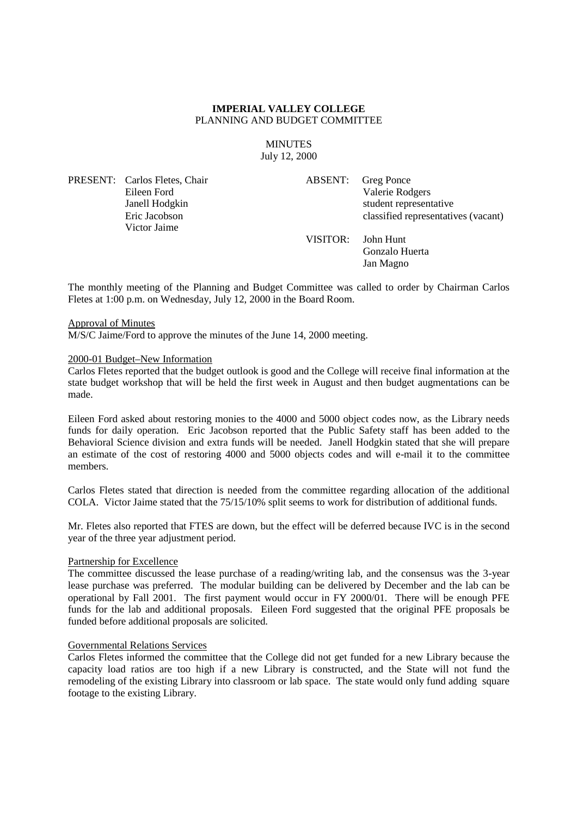#### **MINUTES** July 12, 2000

PRESENT: Carlos Fletes, Chair Eileen Ford Janell Hodgkin Eric Jacobson Victor Jaime

ABSENT: Greg Ponce Valerie Rodgers student representative classified representatives (vacant)

VISITOR: John Hunt Gonzalo Huerta

Jan Magno

The monthly meeting of the Planning and Budget Committee was called to order by Chairman Carlos Fletes at 1:00 p.m. on Wednesday, July 12, 2000 in the Board Room.

## Approval of Minutes

M/S/C Jaime/Ford to approve the minutes of the June 14, 2000 meeting.

## 2000-01 Budget–New Information

Carlos Fletes reported that the budget outlook is good and the College will receive final information at the state budget workshop that will be held the first week in August and then budget augmentations can be made.

Eileen Ford asked about restoring monies to the 4000 and 5000 object codes now, as the Library needs funds for daily operation. Eric Jacobson reported that the Public Safety staff has been added to the Behavioral Science division and extra funds will be needed. Janell Hodgkin stated that she will prepare an estimate of the cost of restoring 4000 and 5000 objects codes and will e-mail it to the committee members.

Carlos Fletes stated that direction is needed from the committee regarding allocation of the additional COLA. Victor Jaime stated that the 75/15/10% split seems to work for distribution of additional funds.

Mr. Fletes also reported that FTES are down, but the effect will be deferred because IVC is in the second year of the three year adjustment period.

#### Partnership for Excellence

The committee discussed the lease purchase of a reading/writing lab, and the consensus was the 3-year lease purchase was preferred. The modular building can be delivered by December and the lab can be operational by Fall 2001. The first payment would occur in FY 2000/01. There will be enough PFE funds for the lab and additional proposals. Eileen Ford suggested that the original PFE proposals be funded before additional proposals are solicited.

#### Governmental Relations Services

Carlos Fletes informed the committee that the College did not get funded for a new Library because the capacity load ratios are too high if a new Library is constructed, and the State will not fund the remodeling of the existing Library into classroom or lab space. The state would only fund adding square footage to the existing Library.